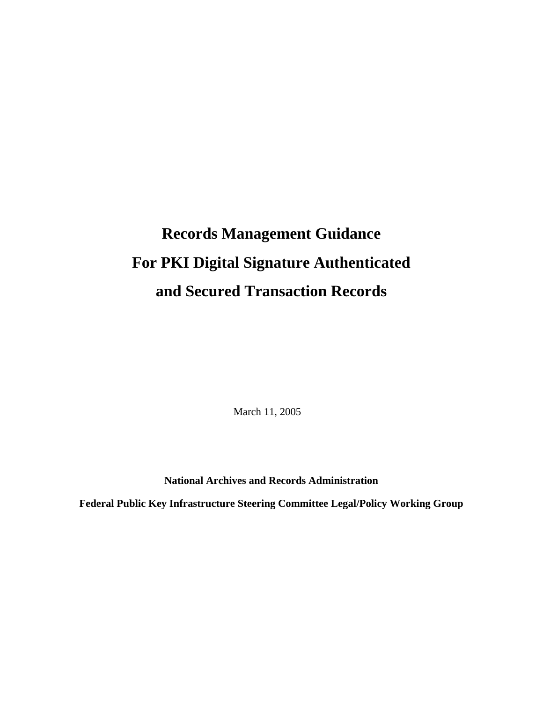# **Records Management Guidance For PKI Digital Signature Authenticated and Secured Transaction Records**

March 11, 2005

**National Archives and Records Administration** 

**Federal Public Key Infrastructure Steering Committee Legal/Policy Working Group**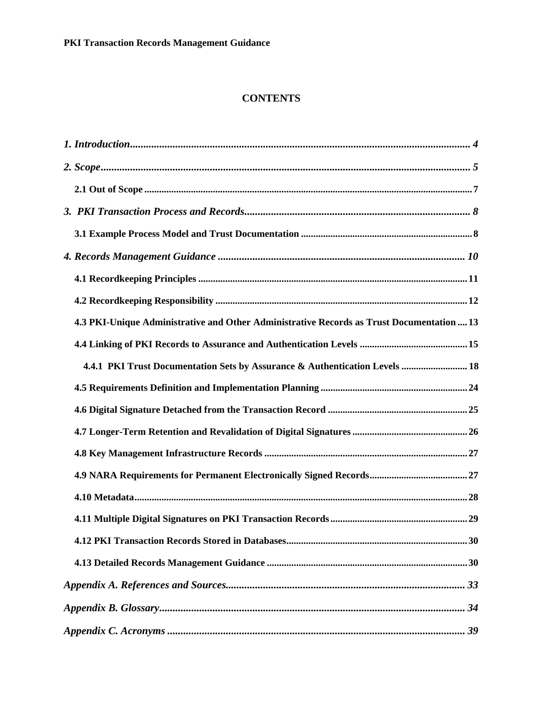#### **CONTENTS**

| 4.3 PKI-Unique Administrative and Other Administrative Records as Trust Documentation  13 |
|-------------------------------------------------------------------------------------------|
|                                                                                           |
| 4.4.1 PKI Trust Documentation Sets by Assurance & Authentication Levels  18               |
|                                                                                           |
|                                                                                           |
|                                                                                           |
|                                                                                           |
|                                                                                           |
|                                                                                           |
|                                                                                           |
|                                                                                           |
|                                                                                           |
|                                                                                           |
|                                                                                           |
|                                                                                           |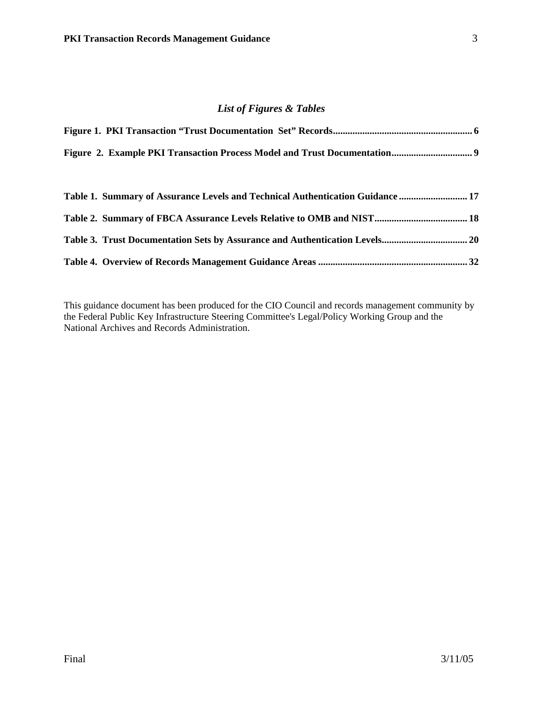#### *List of Figures & Tables*

| Table 1. Summary of Assurance Levels and Technical Authentication Guidance  17 |  |
|--------------------------------------------------------------------------------|--|
| Table 2. Summary of FBCA Assurance Levels Relative to OMB and NIST 18          |  |
|                                                                                |  |
|                                                                                |  |

This guidance document has been produced for the CIO Council and records management community by the Federal Public Key Infrastructure Steering Committee's Legal/Policy Working Group and the National Archives and Records Administration.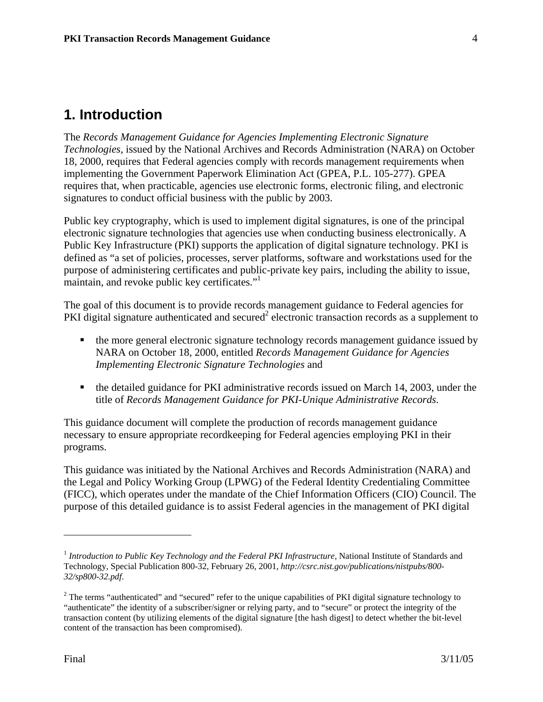## **1. Introduction**

The *Records Management Guidance for Agencies Implementing Electronic Signature Technologies*, issued by the National Archives and Records Administration (NARA) on October 18, 2000, requires that Federal agencies comply with records management requirements when implementing the Government Paperwork Elimination Act (GPEA, P.L. 105-277). GPEA requires that, when practicable, agencies use electronic forms, electronic filing, and electronic signatures to conduct official business with the public by 2003.

Public key cryptography, which is used to implement digital signatures, is one of the principal electronic signature technologies that agencies use when conducting business electronically. A Public Key Infrastructure (PKI) supports the application of digital signature technology. PKI is defined as "a set of policies, processes, server platforms, software and workstations used for the purpose of administering certificates and public-private key pairs, including the ability to issue, maintain, and revoke public key certificates."<sup>1</sup>

The goal of this document is to provide records management guidance to Federal agencies for PKI digital signature authenticated and secured<sup>2</sup> electronic transaction records as a supplement to

- the more general electronic signature technology records management guidance issued by NARA on October 18, 2000, entitled *Records Management Guidance for Agencies Implementing Electronic Signature Technologies* and
- the detailed guidance for PKI administrative records issued on March 14, 2003, under the title of *Records Management Guidance for PKI-Unique Administrative Records*.

This guidance document will complete the production of records management guidance necessary to ensure appropriate recordkeeping for Federal agencies employing PKI in their programs.

This guidance was initiated by the National Archives and Records Administration (NARA) and the Legal and Policy Working Group (LPWG) of the Federal Identity Credentialing Committee (FICC), which operates under the mandate of the Chief Information Officers (CIO) Council. The purpose of this detailed guidance is to assist Federal agencies in the management of PKI digital

<u>.</u>

<sup>&</sup>lt;sup>1</sup> Introduction to Public Key Technology and the Federal PKI Infrastructure, National Institute of Standards and Technology, Special Publication 800-32, February 26, 2001, *http://csrc.nist.gov/publications/nistpubs/800- 32/sp800-32.pdf*.

 $2$  The terms "authenticated" and "secured" refer to the unique capabilities of PKI digital signature technology to "authenticate" the identity of a subscriber/signer or relying party, and to "secure" or protect the integrity of the transaction content (by utilizing elements of the digital signature [the hash digest] to detect whether the bit-level content of the transaction has been compromised).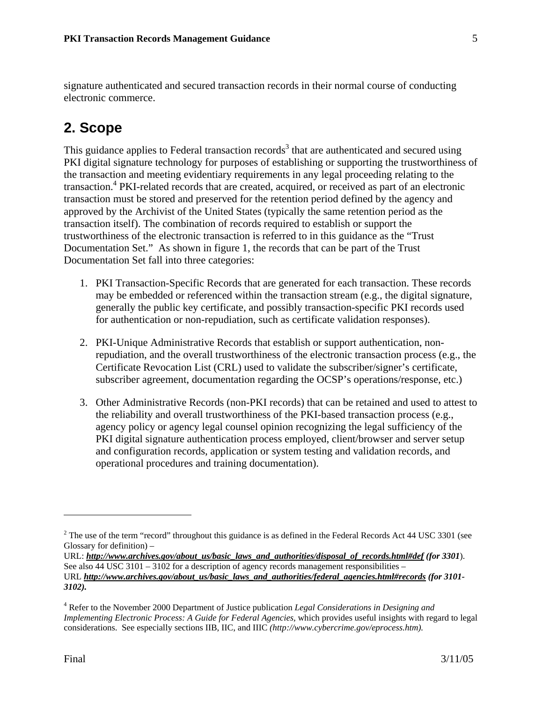signature authenticated and secured transaction records in their normal course of conducting electronic commerce.

## **2. Scope**

This guidance applies to Federal transaction records<sup>3</sup> that are authenticated and secured using PKI digital signature technology for purposes of establishing or supporting the trustworthiness of the transaction and meeting evidentiary requirements in any legal proceeding relating to the transaction.4 PKI-related records that are created, acquired, or received as part of an electronic transaction must be stored and preserved for the retention period defined by the agency and approved by the Archivist of the United States (typically the same retention period as the transaction itself). The combination of records required to establish or support the trustworthiness of the electronic transaction is referred to in this guidance as the "Trust Documentation Set." As shown in figure 1, the records that can be part of the Trust Documentation Set fall into three categories:

- 1. PKI Transaction-Specific Records that are generated for each transaction. These records may be embedded or referenced within the transaction stream (e.g., the digital signature, generally the public key certificate, and possibly transaction-specific PKI records used for authentication or non-repudiation, such as certificate validation responses).
- 2. PKI-Unique Administrative Records that establish or support authentication, nonrepudiation, and the overall trustworthiness of the electronic transaction process (e.g., the Certificate Revocation List (CRL) used to validate the subscriber/signer's certificate, subscriber agreement, documentation regarding the OCSP's operations/response, etc.)
- 3. Other Administrative Records (non-PKI records) that can be retained and used to attest to the reliability and overall trustworthiness of the PKI-based transaction process (e.g., agency policy or agency legal counsel opinion recognizing the legal sufficiency of the PKI digital signature authentication process employed, client/browser and server setup and configuration records, application or system testing and validation records, and operational procedures and training documentation).

 $2^2$  The use of the term "record" throughout this guidance is as defined in the Federal Records Act 44 USC 3301 (see Glossary for definition) –

URL: *http://www.archives.gov/about\_us/basic\_laws\_and\_authorities/disposal\_of\_records.html#def (for 3301).* See also 44 USC 3101 – 3102 for a description of agency records management responsibilities – URL *http://www.archives.gov/about\_us/basic\_laws\_and\_authorities/federal\_agencies.html#records (for 3101- 3102).* 

<sup>4</sup> Refer to the November 2000 Department of Justice publication *Legal Considerations in Designing and Implementing Electronic Process: A Guide for Federal Agencies, which provides useful insights with regard to legal* considerations. See especially sections IIB, IIC, and IIIC *(http://www.cybercrime.gov/eprocess.htm).*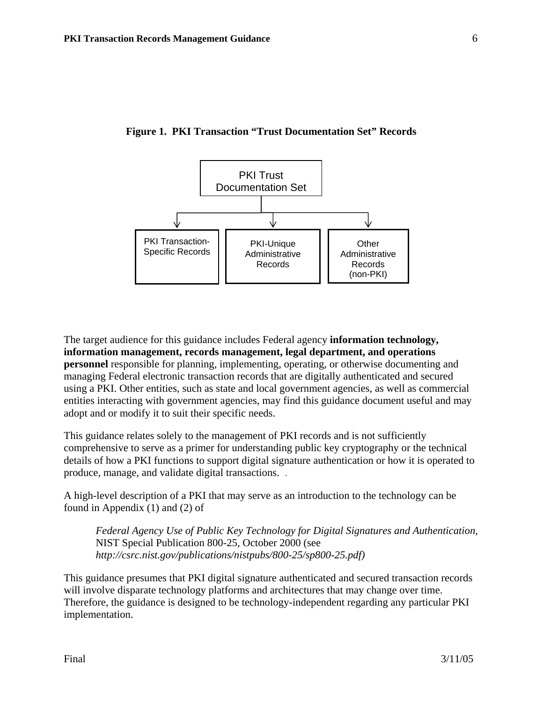

**Figure 1. PKI Transaction "Trust Documentation Set" Records** 

The target audience for this guidance includes Federal agency **information technology, information management, records management, legal department, and operations personnel** responsible for planning, implementing, operating, or otherwise documenting and managing Federal electronic transaction records that are digitally authenticated and secured using a PKI. Other entities, such as state and local government agencies, as well as commercial entities interacting with government agencies, may find this guidance document useful and may adopt and or modify it to suit their specific needs.

This guidance relates solely to the management of PKI records and is not sufficiently comprehensive to serve as a primer for understanding public key cryptography or the technical details of how a PKI functions to support digital signature authentication or how it is operated to produce, manage, and validate digital transactions. .

A high-level description of a PKI that may serve as an introduction to the technology can be found in Appendix (1) and (2) of

*Federal Agency Use of Public Key Technology for Digital Signatures and Authentication,*  NIST Special Publication 800-25, October 2000 (see *http://csrc.nist.gov/publications/nistpubs/800-25/sp800-25.pdf)*

This guidance presumes that PKI digital signature authenticated and secured transaction records will involve disparate technology platforms and architectures that may change over time. Therefore, the guidance is designed to be technology-independent regarding any particular PKI implementation.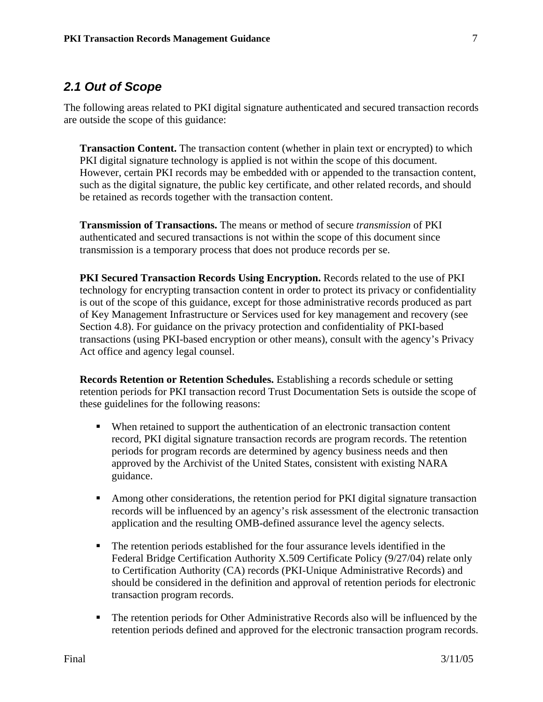### *2.1 Out of Scope*

The following areas related to PKI digital signature authenticated and secured transaction records are outside the scope of this guidance:

**Transaction Content.** The transaction content (whether in plain text or encrypted) to which PKI digital signature technology is applied is not within the scope of this document. However, certain PKI records may be embedded with or appended to the transaction content, such as the digital signature, the public key certificate, and other related records, and should be retained as records together with the transaction content.

**Transmission of Transactions.** The means or method of secure *transmission* of PKI authenticated and secured transactions is not within the scope of this document since transmission is a temporary process that does not produce records per se.

**PKI Secured Transaction Records Using Encryption.** Records related to the use of PKI technology for encrypting transaction content in order to protect its privacy or confidentiality is out of the scope of this guidance, except for those administrative records produced as part of Key Management Infrastructure or Services used for key management and recovery (see Section 4.8). For guidance on the privacy protection and confidentiality of PKI-based transactions (using PKI-based encryption or other means), consult with the agency's Privacy Act office and agency legal counsel.

**Records Retention or Retention Schedules.** Establishing a records schedule or setting retention periods for PKI transaction record Trust Documentation Sets is outside the scope of these guidelines for the following reasons:

- When retained to support the authentication of an electronic transaction content record, PKI digital signature transaction records are program records. The retention periods for program records are determined by agency business needs and then approved by the Archivist of the United States, consistent with existing NARA guidance.
- Among other considerations, the retention period for PKI digital signature transaction records will be influenced by an agency's risk assessment of the electronic transaction application and the resulting OMB-defined assurance level the agency selects.
- The retention periods established for the four assurance levels identified in the Federal Bridge Certification Authority X.509 Certificate Policy (9/27/04) relate only to Certification Authority (CA) records (PKI-Unique Administrative Records) and should be considered in the definition and approval of retention periods for electronic transaction program records.
- The retention periods for Other Administrative Records also will be influenced by the retention periods defined and approved for the electronic transaction program records.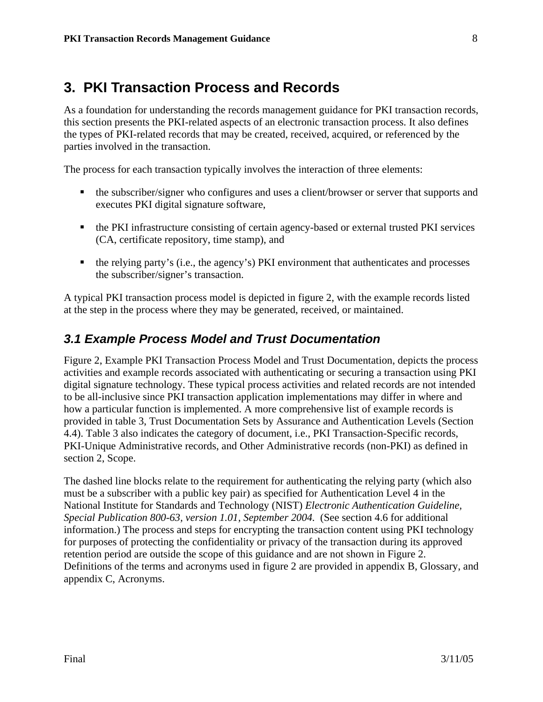## **3. PKI Transaction Process and Records**

As a foundation for understanding the records management guidance for PKI transaction records, this section presents the PKI-related aspects of an electronic transaction process. It also defines the types of PKI-related records that may be created, received, acquired, or referenced by the parties involved in the transaction.

The process for each transaction typically involves the interaction of three elements:

- the subscriber/signer who configures and uses a client/browser or server that supports and executes PKI digital signature software,
- the PKI infrastructure consisting of certain agency-based or external trusted PKI services (CA, certificate repository, time stamp), and
- the relying party's (i.e., the agency's) PKI environment that authenticates and processes the subscriber/signer's transaction.

A typical PKI transaction process model is depicted in figure 2, with the example records listed at the step in the process where they may be generated, received, or maintained.

## *3.1 Example Process Model and Trust Documentation*

Figure 2, Example PKI Transaction Process Model and Trust Documentation, depicts the process activities and example records associated with authenticating or securing a transaction using PKI digital signature technology. These typical process activities and related records are not intended to be all-inclusive since PKI transaction application implementations may differ in where and how a particular function is implemented. A more comprehensive list of example records is provided in table 3, Trust Documentation Sets by Assurance and Authentication Levels (Section 4.4). Table 3 also indicates the category of document, i.e., PKI Transaction-Specific records, PKI-Unique Administrative records, and Other Administrative records (non-PKI) as defined in section 2, Scope.

The dashed line blocks relate to the requirement for authenticating the relying party (which also must be a subscriber with a public key pair) as specified for Authentication Level 4 in the National Institute for Standards and Technology (NIST) *Electronic Authentication Guideline, Special Publication 800-63, version 1.01, September 2004.* (See section 4.6 for additional information.) The process and steps for encrypting the transaction content using PKI technology for purposes of protecting the confidentiality or privacy of the transaction during its approved retention period are outside the scope of this guidance and are not shown in Figure 2. Definitions of the terms and acronyms used in figure 2 are provided in appendix B, Glossary, and appendix C, Acronyms.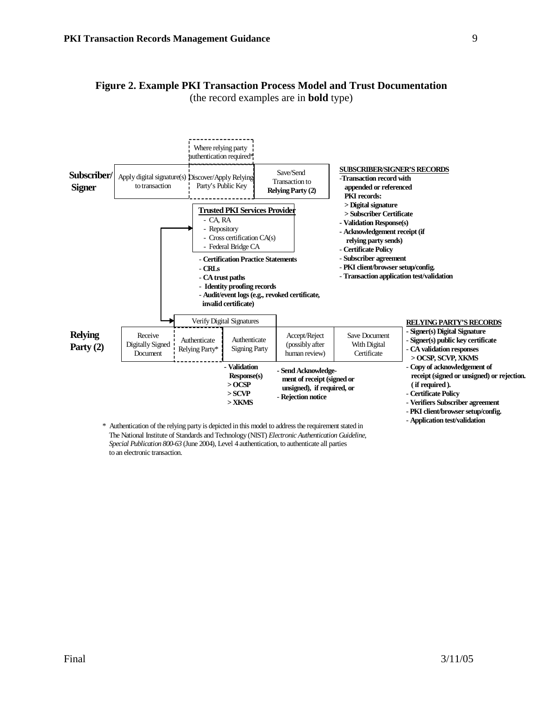

## **Figure 2. Example PKI Transaction Process Model and Trust Documentation**

(the record examples are in **bold** type)

\* Authentication of the relying party is depicted in this model to address the requirement stated in The National Institute of Standards and Technology (NIST) *Electronic Authentication Guideline, Special Publication 800-63* (June 2004), Level 4 authentication, to authenticate all parties to an electronic transaction.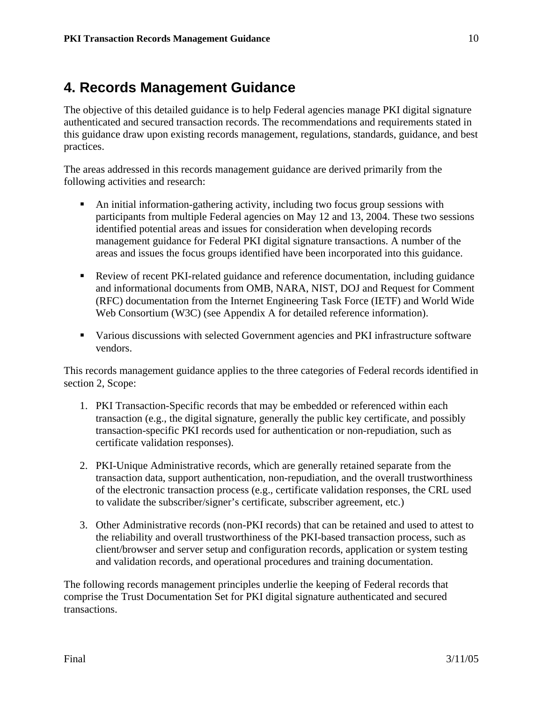## **4. Records Management Guidance**

The objective of this detailed guidance is to help Federal agencies manage PKI digital signature authenticated and secured transaction records. The recommendations and requirements stated in this guidance draw upon existing records management, regulations, standards, guidance, and best practices.

The areas addressed in this records management guidance are derived primarily from the following activities and research:

- An initial information-gathering activity, including two focus group sessions with participants from multiple Federal agencies on May 12 and 13, 2004. These two sessions identified potential areas and issues for consideration when developing records management guidance for Federal PKI digital signature transactions. A number of the areas and issues the focus groups identified have been incorporated into this guidance.
- Review of recent PKI-related guidance and reference documentation, including guidance and informational documents from OMB, NARA, NIST, DOJ and Request for Comment (RFC) documentation from the Internet Engineering Task Force (IETF) and World Wide Web Consortium (W3C) (see Appendix A for detailed reference information).
- Various discussions with selected Government agencies and PKI infrastructure software vendors.

This records management guidance applies to the three categories of Federal records identified in section 2, Scope:

- 1. PKI Transaction-Specific records that may be embedded or referenced within each transaction (e.g., the digital signature, generally the public key certificate, and possibly transaction-specific PKI records used for authentication or non-repudiation, such as certificate validation responses).
- 2. PKI-Unique Administrative records, which are generally retained separate from the transaction data, support authentication, non-repudiation, and the overall trustworthiness of the electronic transaction process (e.g., certificate validation responses, the CRL used to validate the subscriber/signer's certificate, subscriber agreement, etc.)
- 3. Other Administrative records (non-PKI records) that can be retained and used to attest to the reliability and overall trustworthiness of the PKI-based transaction process, such as client/browser and server setup and configuration records, application or system testing and validation records, and operational procedures and training documentation.

The following records management principles underlie the keeping of Federal records that comprise the Trust Documentation Set for PKI digital signature authenticated and secured transactions.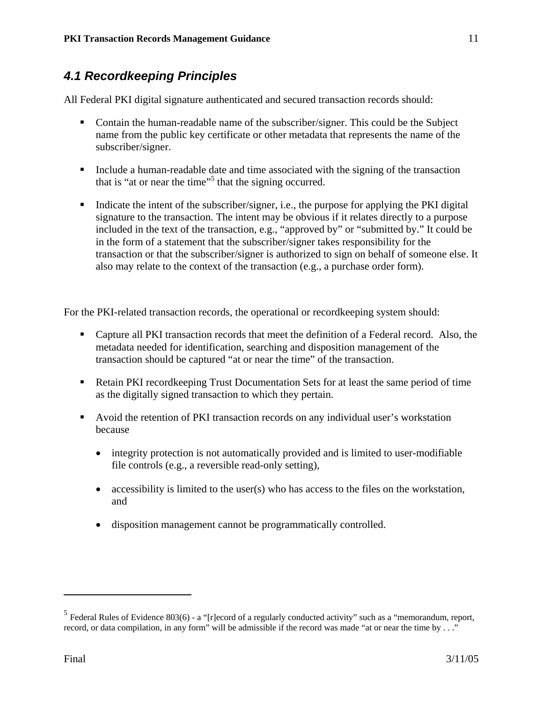## *4.1 Recordkeeping Principles*

All Federal PKI digital signature authenticated and secured transaction records should:

- Contain the human-readable name of the subscriber/signer. This could be the Subject name from the public key certificate or other metadata that represents the name of the subscriber/signer.
- Include a human-readable date and time associated with the signing of the transaction that is "at or near the time"<sup>5</sup> that the signing occurred.
- Indicate the intent of the subscriber/signer, i.e., the purpose for applying the PKI digital signature to the transaction. The intent may be obvious if it relates directly to a purpose included in the text of the transaction, e.g., "approved by" or "submitted by." It could be in the form of a statement that the subscriber/signer takes responsibility for the transaction or that the subscriber/signer is authorized to sign on behalf of someone else. It also may relate to the context of the transaction (e.g., a purchase order form).

For the PKI-related transaction records, the operational or recordkeeping system should:

- Capture all PKI transaction records that meet the definition of a Federal record. Also, the metadata needed for identification, searching and disposition management of the transaction should be captured "at or near the time" of the transaction.
- **Retain PKI record keeping Trust Documentation Sets for at least the same period of time** as the digitally signed transaction to which they pertain.
- Avoid the retention of PKI transaction records on any individual user's workstation because
	- integrity protection is not automatically provided and is limited to user-modifiable file controls (e.g., a reversible read-only setting),
	- accessibility is limited to the user(s) who has access to the files on the workstation, and
	- disposition management cannot be programmatically controlled.

 $<sup>5</sup>$  Federal Rules of Evidence 803(6) - a "[r]ecord of a regularly conducted activity" such as a "memorandum, report,</sup> record, or data compilation, in any form" will be admissible if the record was made "at or near the time by . . ."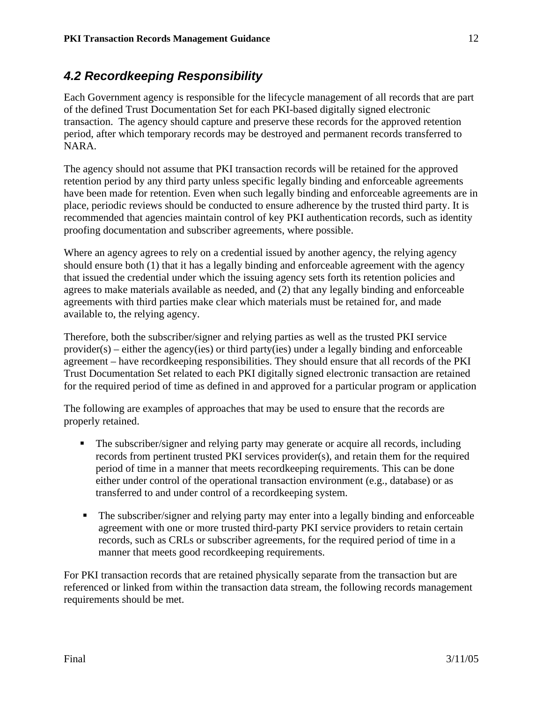## *4.2 Recordkeeping Responsibility*

Each Government agency is responsible for the lifecycle management of all records that are part of the defined Trust Documentation Set for each PKI-based digitally signed electronic transaction. The agency should capture and preserve these records for the approved retention period, after which temporary records may be destroyed and permanent records transferred to NARA.

The agency should not assume that PKI transaction records will be retained for the approved retention period by any third party unless specific legally binding and enforceable agreements have been made for retention. Even when such legally binding and enforceable agreements are in place, periodic reviews should be conducted to ensure adherence by the trusted third party. It is recommended that agencies maintain control of key PKI authentication records, such as identity proofing documentation and subscriber agreements, where possible.

Where an agency agrees to rely on a credential issued by another agency, the relying agency should ensure both (1) that it has a legally binding and enforceable agreement with the agency that issued the credential under which the issuing agency sets forth its retention policies and agrees to make materials available as needed, and (2) that any legally binding and enforceable agreements with third parties make clear which materials must be retained for, and made available to, the relying agency.

Therefore, both the subscriber/signer and relying parties as well as the trusted PKI service provider(s) – either the agency(ies) or third party(ies) under a legally binding and enforceable agreement – have recordkeeping responsibilities. They should ensure that all records of the PKI Trust Documentation Set related to each PKI digitally signed electronic transaction are retained for the required period of time as defined in and approved for a particular program or application

The following are examples of approaches that may be used to ensure that the records are properly retained.

- The subscriber/signer and relying party may generate or acquire all records, including records from pertinent trusted PKI services provider(s), and retain them for the required period of time in a manner that meets recordkeeping requirements. This can be done either under control of the operational transaction environment (e.g., database) or as transferred to and under control of a recordkeeping system.
- The subscriber/signer and relying party may enter into a legally binding and enforceable agreement with one or more trusted third-party PKI service providers to retain certain records, such as CRLs or subscriber agreements, for the required period of time in a manner that meets good recordkeeping requirements.

For PKI transaction records that are retained physically separate from the transaction but are referenced or linked from within the transaction data stream, the following records management requirements should be met.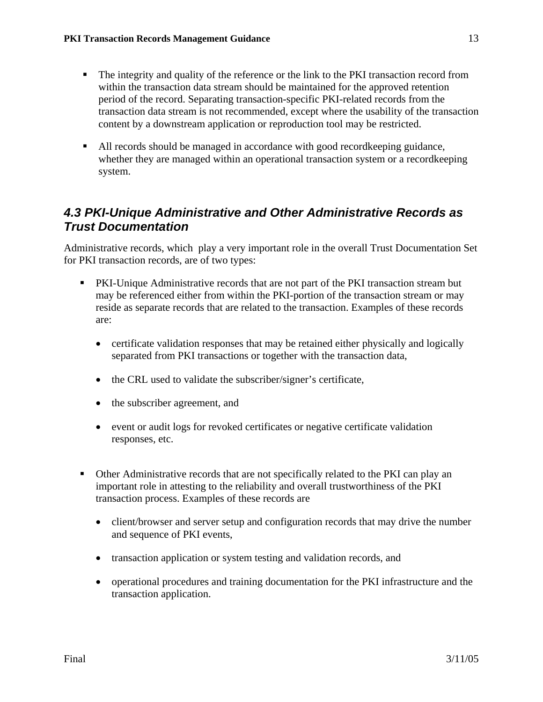- The integrity and quality of the reference or the link to the PKI transaction record from within the transaction data stream should be maintained for the approved retention period of the record. Separating transaction-specific PKI-related records from the transaction data stream is not recommended, except where the usability of the transaction content by a downstream application or reproduction tool may be restricted.
- All records should be managed in accordance with good recordkeeping guidance, whether they are managed within an operational transaction system or a recordkeeping system.

## *4.3 PKI-Unique Administrative and Other Administrative Records as Trust Documentation*

Administrative records, which play a very important role in the overall Trust Documentation Set for PKI transaction records, are of two types:

- PKI-Unique Administrative records that are not part of the PKI transaction stream but may be referenced either from within the PKI-portion of the transaction stream or may reside as separate records that are related to the transaction. Examples of these records are:
	- certificate validation responses that may be retained either physically and logically separated from PKI transactions or together with the transaction data,
	- the CRL used to validate the subscriber/signer's certificate,
	- the subscriber agreement, and
	- event or audit logs for revoked certificates or negative certificate validation responses, etc.
- Other Administrative records that are not specifically related to the PKI can play an important role in attesting to the reliability and overall trustworthiness of the PKI transaction process. Examples of these records are
	- client/browser and server setup and configuration records that may drive the number and sequence of PKI events,
	- transaction application or system testing and validation records, and
	- operational procedures and training documentation for the PKI infrastructure and the transaction application.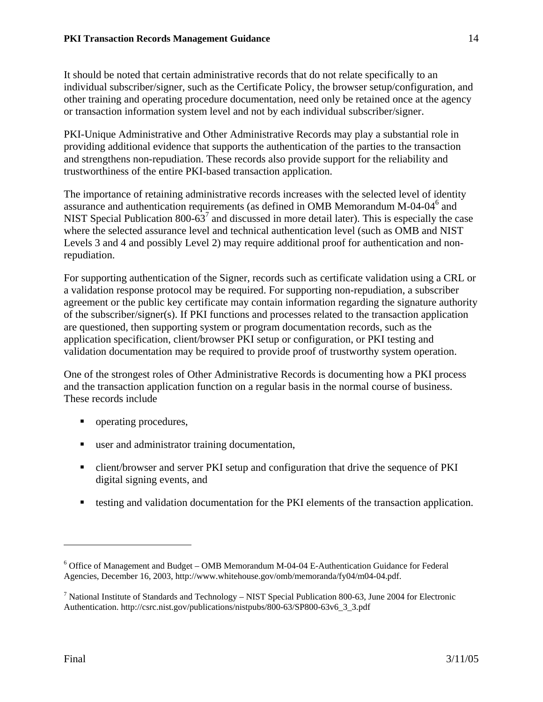It should be noted that certain administrative records that do not relate specifically to an individual subscriber/signer, such as the Certificate Policy, the browser setup/configuration, and other training and operating procedure documentation, need only be retained once at the agency or transaction information system level and not by each individual subscriber/signer.

PKI-Unique Administrative and Other Administrative Records may play a substantial role in providing additional evidence that supports the authentication of the parties to the transaction and strengthens non-repudiation. These records also provide support for the reliability and trustworthiness of the entire PKI-based transaction application.

The importance of retaining administrative records increases with the selected level of identity assurance and authentication requirements (as defined in OMB Memorandum M-04-04<sup>6</sup> and NIST Special Publication 800-63<sup>7</sup> and discussed in more detail later). This is especially the case where the selected assurance level and technical authentication level (such as OMB and NIST Levels 3 and 4 and possibly Level 2) may require additional proof for authentication and nonrepudiation.

For supporting authentication of the Signer, records such as certificate validation using a CRL or a validation response protocol may be required. For supporting non-repudiation, a subscriber agreement or the public key certificate may contain information regarding the signature authority of the subscriber/signer(s). If PKI functions and processes related to the transaction application are questioned, then supporting system or program documentation records, such as the application specification, client/browser PKI setup or configuration, or PKI testing and validation documentation may be required to provide proof of trustworthy system operation.

One of the strongest roles of Other Administrative Records is documenting how a PKI process and the transaction application function on a regular basis in the normal course of business. These records include

- operating procedures,
- user and administrator training documentation,
- client/browser and server PKI setup and configuration that drive the sequence of PKI digital signing events, and
- testing and validation documentation for the PKI elements of the transaction application.

<sup>&</sup>lt;sup>6</sup> Office of Management and Budget – OMB Memorandum M-04-04 E-Authentication Guidance for Federal Agencies, December 16, 2003, http://www.whitehouse.gov/omb/memoranda/fy04/m04-04.pdf.

<sup>&</sup>lt;sup>7</sup> National Institute of Standards and Technology – NIST Special Publication 800-63, June 2004 for Electronic Authentication. http://csrc.nist.gov/publications/nistpubs/800-63/SP800-63v6\_3\_3.pdf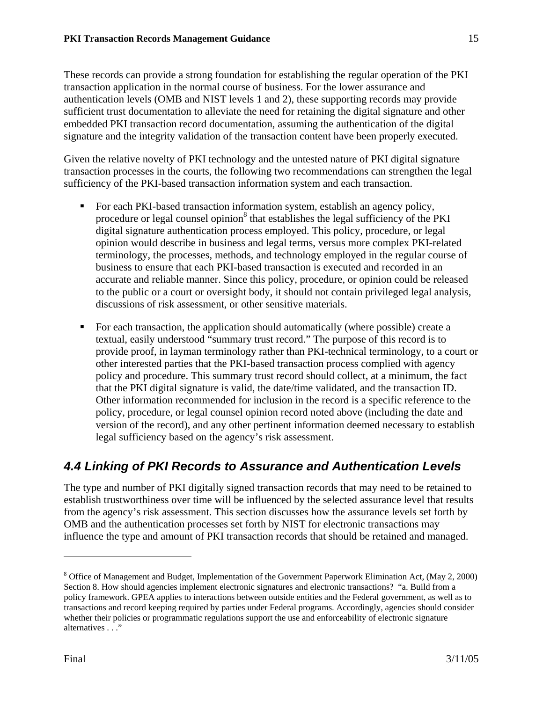These records can provide a strong foundation for establishing the regular operation of the PKI transaction application in the normal course of business. For the lower assurance and authentication levels (OMB and NIST levels 1 and 2), these supporting records may provide sufficient trust documentation to alleviate the need for retaining the digital signature and other embedded PKI transaction record documentation, assuming the authentication of the digital signature and the integrity validation of the transaction content have been properly executed.

Given the relative novelty of PKI technology and the untested nature of PKI digital signature transaction processes in the courts, the following two recommendations can strengthen the legal sufficiency of the PKI-based transaction information system and each transaction.

- **For each PKI-based transaction information system, establish an agency policy,** procedure or legal counsel opinion<sup>8</sup> that establishes the legal sufficiency of the PKI digital signature authentication process employed. This policy, procedure, or legal opinion would describe in business and legal terms, versus more complex PKI-related terminology, the processes, methods, and technology employed in the regular course of business to ensure that each PKI-based transaction is executed and recorded in an accurate and reliable manner. Since this policy, procedure, or opinion could be released to the public or a court or oversight body, it should not contain privileged legal analysis, discussions of risk assessment, or other sensitive materials.
- For each transaction, the application should automatically (where possible) create a textual, easily understood "summary trust record." The purpose of this record is to provide proof, in layman terminology rather than PKI-technical terminology, to a court or other interested parties that the PKI-based transaction process complied with agency policy and procedure. This summary trust record should collect, at a minimum, the fact that the PKI digital signature is valid, the date/time validated, and the transaction ID. Other information recommended for inclusion in the record is a specific reference to the policy, procedure, or legal counsel opinion record noted above (including the date and version of the record), and any other pertinent information deemed necessary to establish legal sufficiency based on the agency's risk assessment.

## *4.4 Linking of PKI Records to Assurance and Authentication Levels*

The type and number of PKI digitally signed transaction records that may need to be retained to establish trustworthiness over time will be influenced by the selected assurance level that results from the agency's risk assessment. This section discusses how the assurance levels set forth by OMB and the authentication processes set forth by NIST for electronic transactions may influence the type and amount of PKI transaction records that should be retained and managed.

<sup>&</sup>lt;sup>8</sup> Office of Management and Budget, Implementation of the Government Paperwork Elimination Act, (May 2, 2000) Section 8. How should agencies implement electronic signatures and electronic transactions? "a. Build from a policy framework. GPEA applies to interactions between outside entities and the Federal government, as well as to transactions and record keeping required by parties under Federal programs. Accordingly, agencies should consider whether their policies or programmatic regulations support the use and enforceability of electronic signature alternatives . . ."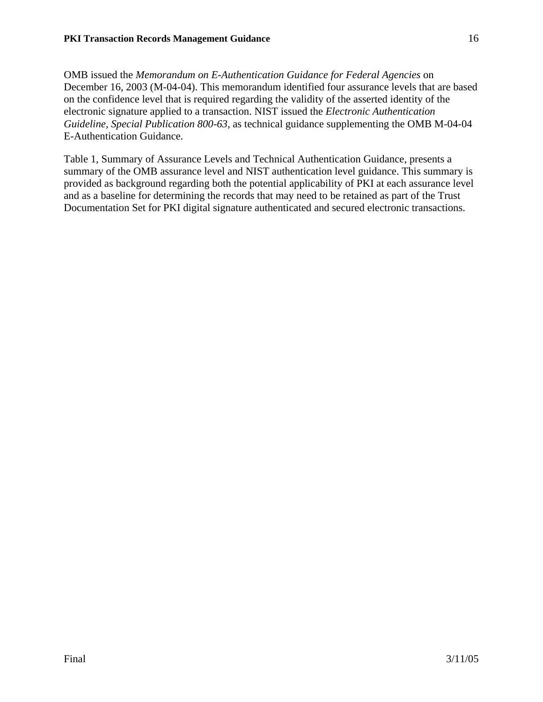OMB issued the *Memorandum on E-Authentication Guidance for Federal Agencies* on December 16, 2003 (M-04-04). This memorandum identified four assurance levels that are based on the confidence level that is required regarding the validity of the asserted identity of the electronic signature applied to a transaction. NIST issued the *Electronic Authentication Guideline, Special Publication 800-63,* as technical guidance supplementing the OMB M-04-04 E-Authentication Guidance.

Table 1, Summary of Assurance Levels and Technical Authentication Guidance, presents a summary of the OMB assurance level and NIST authentication level guidance. This summary is provided as background regarding both the potential applicability of PKI at each assurance level and as a baseline for determining the records that may need to be retained as part of the Trust Documentation Set for PKI digital signature authenticated and secured electronic transactions.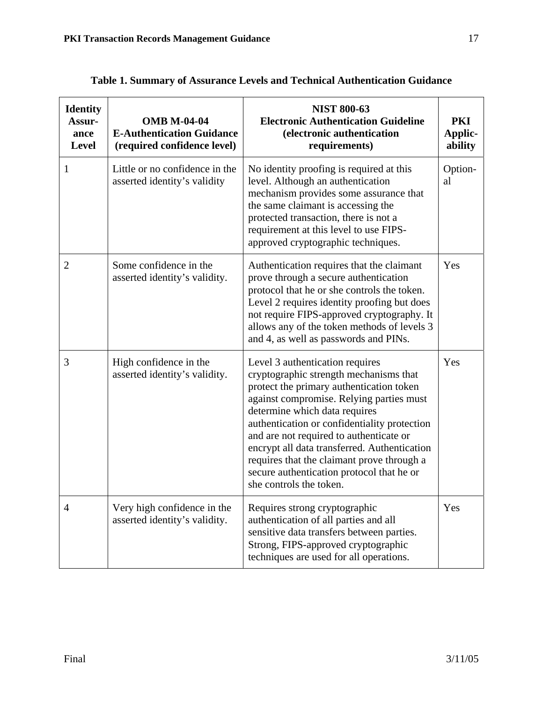| <b>Identity</b><br>Assur-<br>ance<br>Level | <b>OMB M-04-04</b><br><b>E-Authentication Guidance</b><br>(required confidence level) | <b>NIST 800-63</b><br><b>Electronic Authentication Guideline</b><br>(electronic authentication<br>requirements)                                                                                                                                                                                                                                                                                                                                                     | PKI<br><b>Applic-</b><br>ability |
|--------------------------------------------|---------------------------------------------------------------------------------------|---------------------------------------------------------------------------------------------------------------------------------------------------------------------------------------------------------------------------------------------------------------------------------------------------------------------------------------------------------------------------------------------------------------------------------------------------------------------|----------------------------------|
| 1                                          | Little or no confidence in the<br>asserted identity's validity                        | No identity proofing is required at this<br>level. Although an authentication<br>mechanism provides some assurance that<br>the same claimant is accessing the<br>protected transaction, there is not a<br>requirement at this level to use FIPS-<br>approved cryptographic techniques.                                                                                                                                                                              | Option-<br>al                    |
| $\overline{2}$                             | Some confidence in the<br>asserted identity's validity.                               | Authentication requires that the claimant<br>prove through a secure authentication<br>protocol that he or she controls the token.<br>Level 2 requires identity proofing but does<br>not require FIPS-approved cryptography. It<br>allows any of the token methods of levels 3<br>and 4, as well as passwords and PINs.                                                                                                                                              | Yes                              |
| 3                                          | High confidence in the<br>asserted identity's validity.                               | Level 3 authentication requires<br>cryptographic strength mechanisms that<br>protect the primary authentication token<br>against compromise. Relying parties must<br>determine which data requires<br>authentication or confidentiality protection<br>and are not required to authenticate or<br>encrypt all data transferred. Authentication<br>requires that the claimant prove through a<br>secure authentication protocol that he or<br>she controls the token. | Yes                              |
| $\overline{4}$                             | Very high confidence in the<br>asserted identity's validity.                          | Requires strong cryptographic<br>authentication of all parties and all<br>sensitive data transfers between parties.<br>Strong, FIPS-approved cryptographic<br>techniques are used for all operations.                                                                                                                                                                                                                                                               | Yes                              |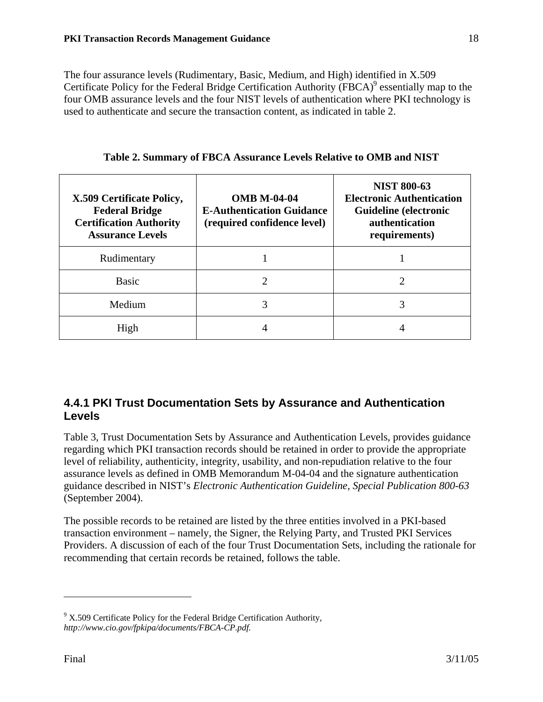The four assurance levels (Rudimentary, Basic, Medium, and High) identified in X.509 Certificate Policy for the Federal Bridge Certification Authority (FBCA)<sup>9</sup> essentially map to the four OMB assurance levels and the four NIST levels of authentication where PKI technology is used to authenticate and secure the transaction content, as indicated in table 2.

| X.509 Certificate Policy,<br><b>Federal Bridge</b><br><b>Certification Authority</b><br><b>Assurance Levels</b> | <b>OMB M-04-04</b><br><b>E-Authentication Guidance</b><br>(required confidence level) | <b>NIST 800-63</b><br><b>Electronic Authentication</b><br><b>Guideline</b> (electronic<br><b>authentication</b><br>requirements) |
|-----------------------------------------------------------------------------------------------------------------|---------------------------------------------------------------------------------------|----------------------------------------------------------------------------------------------------------------------------------|
| Rudimentary                                                                                                     |                                                                                       |                                                                                                                                  |
| <b>Basic</b>                                                                                                    |                                                                                       |                                                                                                                                  |
| Medium                                                                                                          |                                                                                       | 3                                                                                                                                |
| High                                                                                                            |                                                                                       |                                                                                                                                  |

**Table 2. Summary of FBCA Assurance Levels Relative to OMB and NIST** 

#### **4.4.1 PKI Trust Documentation Sets by Assurance and Authentication Levels**

Table 3, Trust Documentation Sets by Assurance and Authentication Levels, provides guidance regarding which PKI transaction records should be retained in order to provide the appropriate level of reliability, authenticity, integrity, usability, and non-repudiation relative to the four assurance levels as defined in OMB Memorandum M-04-04 and the signature authentication guidance described in NIST's *Electronic Authentication Guideline, Special Publication 800-63*  (September 2004).

The possible records to be retained are listed by the three entities involved in a PKI-based transaction environment – namely, the Signer, the Relying Party, and Trusted PKI Services Providers. A discussion of each of the four Trust Documentation Sets, including the rationale for recommending that certain records be retained, follows the table.

 $9^9$  X.509 Certificate Policy for the Federal Bridge Certification Authority, *http://www.cio.gov/fpkipa/documents/FBCA-CP.pdf.*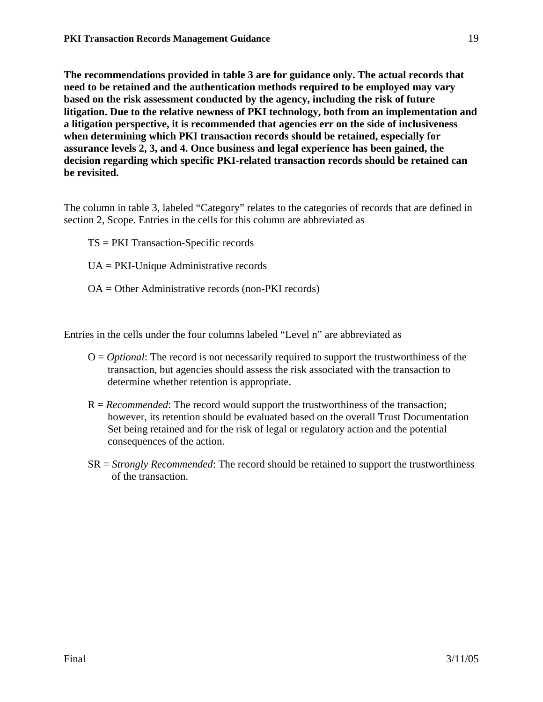**The recommendations provided in table 3 are for guidance only. The actual records that need to be retained and the authentication methods required to be employed may vary based on the risk assessment conducted by the agency, including the risk of future litigation. Due to the relative newness of PKI technology, both from an implementation and a litigation perspective, it is recommended that agencies err on the side of inclusiveness when determining which PKI transaction records should be retained, especially for assurance levels 2, 3, and 4. Once business and legal experience has been gained, the decision regarding which specific PKI-related transaction records should be retained can be revisited.** 

The column in table 3, labeled "Category" relates to the categories of records that are defined in section 2, Scope. Entries in the cells for this column are abbreviated as

- TS = PKI Transaction-Specific records
- UA = PKI-Unique Administrative records
- OA = Other Administrative records (non-PKI records)

Entries in the cells under the four columns labeled "Level n" are abbreviated as

- O = *Optional*: The record is not necessarily required to support the trustworthiness of the transaction, but agencies should assess the risk associated with the transaction to determine whether retention is appropriate.
- R = *Recommended*: The record would support the trustworthiness of the transaction; however, its retention should be evaluated based on the overall Trust Documentation Set being retained and for the risk of legal or regulatory action and the potential consequences of the action.
- SR = *Strongly Recommended*: The record should be retained to support the trustworthiness of the transaction.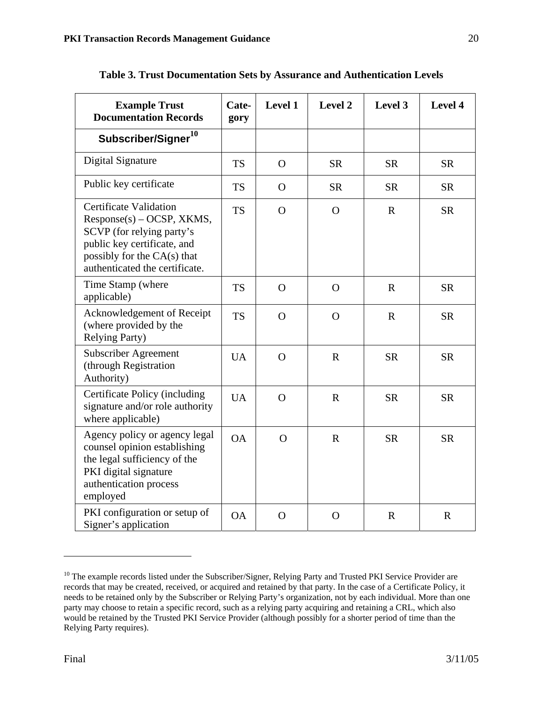| <b>Example Trust</b><br><b>Documentation Records</b>                                                                                                                                      | Cate-<br>gory | Level 1      | Level 2     | Level 3      | Level 4     |
|-------------------------------------------------------------------------------------------------------------------------------------------------------------------------------------------|---------------|--------------|-------------|--------------|-------------|
| Subscriber/Signer <sup>10</sup>                                                                                                                                                           |               |              |             |              |             |
| Digital Signature                                                                                                                                                                         | <b>TS</b>     | $\Omega$     | <b>SR</b>   | <b>SR</b>    | <b>SR</b>   |
| Public key certificate                                                                                                                                                                    | <b>TS</b>     | $\Omega$     | <b>SR</b>   | <b>SR</b>    | <b>SR</b>   |
| <b>Certificate Validation</b><br>$Response(s) - OCSP, XKMS,$<br>SCVP (for relying party's<br>public key certificate, and<br>possibly for the CA(s) that<br>authenticated the certificate. | <b>TS</b>     | $\Omega$     | $\Omega$    | $\mathbb{R}$ | <b>SR</b>   |
| Time Stamp (where<br>applicable)                                                                                                                                                          | <b>TS</b>     | $\mathbf{O}$ | $\Omega$    | $\mathbf{R}$ | <b>SR</b>   |
| Acknowledgement of Receipt<br>(where provided by the<br><b>Relying Party)</b>                                                                                                             | <b>TS</b>     | $\Omega$     | $\Omega$    | $\mathbb{R}$ | <b>SR</b>   |
| <b>Subscriber Agreement</b><br>(through Registration<br>Authority)                                                                                                                        | <b>UA</b>     | $\mathbf{O}$ | $\mathbf R$ | <b>SR</b>    | <b>SR</b>   |
| Certificate Policy (including<br>signature and/or role authority<br>where applicable)                                                                                                     | <b>UA</b>     | $\Omega$     | $\mathbf R$ | <b>SR</b>    | <b>SR</b>   |
| Agency policy or agency legal<br>counsel opinion establishing<br>the legal sufficiency of the<br>PKI digital signature<br>authentication process<br>employed                              | OA            | $\Omega$     | $\mathbf R$ | <b>SR</b>    | <b>SR</b>   |
| PKI configuration or setup of<br>Signer's application                                                                                                                                     | <b>OA</b>     | $\mathbf{O}$ | $\Omega$    | $\mathbf R$  | $\mathbf R$ |

**Table 3. Trust Documentation Sets by Assurance and Authentication Levels**

<sup>&</sup>lt;sup>10</sup> The example records listed under the Subscriber/Signer, Relying Party and Trusted PKI Service Provider are records that may be created, received, or acquired and retained by that party. In the case of a Certificate Policy, it needs to be retained only by the Subscriber or Relying Party's organization, not by each individual. More than one party may choose to retain a specific record, such as a relying party acquiring and retaining a CRL, which also would be retained by the Trusted PKI Service Provider (although possibly for a shorter period of time than the Relying Party requires).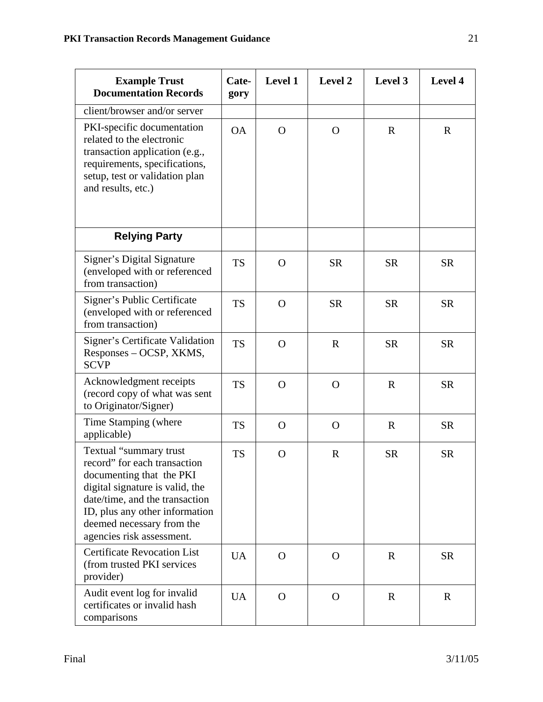| <b>Example Trust</b><br><b>Documentation Records</b>                                                                                                                                                                                                | Cate-<br>gory | Level 1      | <b>Level 2</b> | Level 3      | Level 4     |
|-----------------------------------------------------------------------------------------------------------------------------------------------------------------------------------------------------------------------------------------------------|---------------|--------------|----------------|--------------|-------------|
| client/browser and/or server                                                                                                                                                                                                                        |               |              |                |              |             |
| PKI-specific documentation<br>related to the electronic<br>transaction application (e.g.,<br>requirements, specifications,<br>setup, test or validation plan<br>and results, etc.)                                                                  | <b>OA</b>     | $\mathbf{O}$ | $\Omega$       | $\mathbf{R}$ | $\mathbf R$ |
| <b>Relying Party</b>                                                                                                                                                                                                                                |               |              |                |              |             |
| Signer's Digital Signature<br>(enveloped with or referenced<br>from transaction)                                                                                                                                                                    | <b>TS</b>     | $\mathbf{O}$ | <b>SR</b>      | <b>SR</b>    | <b>SR</b>   |
| Signer's Public Certificate<br>(enveloped with or referenced<br>from transaction)                                                                                                                                                                   | <b>TS</b>     | $\mathbf{O}$ | <b>SR</b>      | <b>SR</b>    | <b>SR</b>   |
| Signer's Certificate Validation<br>Responses – OCSP, XKMS,<br><b>SCVP</b>                                                                                                                                                                           | <b>TS</b>     | $\Omega$     | $\mathbf R$    | <b>SR</b>    | <b>SR</b>   |
| Acknowledgment receipts<br>(record copy of what was sent<br>to Originator/Signer)                                                                                                                                                                   | <b>TS</b>     | $\mathbf{O}$ | $\Omega$       | $\mathbb{R}$ | <b>SR</b>   |
| Time Stamping (where<br>applicable)                                                                                                                                                                                                                 | <b>TS</b>     | $\mathbf{O}$ | $\Omega$       | $\mathbf R$  | <b>SR</b>   |
| Textual "summary trust<br>record" for each transaction<br>documenting that the PKI<br>digital signature is valid, the<br>date/time, and the transaction<br>ID, plus any other information<br>deemed necessary from the<br>agencies risk assessment. | <b>TS</b>     | $\mathbf{O}$ | $\mathbf R$    | <b>SR</b>    | <b>SR</b>   |
| <b>Certificate Revocation List</b><br>(from trusted PKI services<br>provider)                                                                                                                                                                       | <b>UA</b>     | $\Omega$     | $\Omega$       | $\mathbf R$  | <b>SR</b>   |
| Audit event log for invalid<br>certificates or invalid hash<br>comparisons                                                                                                                                                                          | <b>UA</b>     | $\Omega$     | $\Omega$       | $\mathbf R$  | $\mathbf R$ |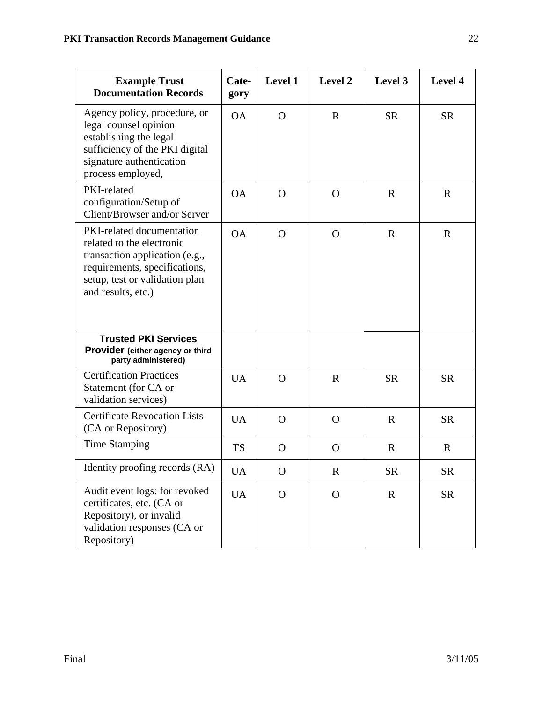| <b>Example Trust</b><br><b>Documentation Records</b>                                                                                                                              | Cate-<br>gory | Level 1      | Level 2      | Level 3      | Level 4      |
|-----------------------------------------------------------------------------------------------------------------------------------------------------------------------------------|---------------|--------------|--------------|--------------|--------------|
| Agency policy, procedure, or<br>legal counsel opinion<br>establishing the legal<br>sufficiency of the PKI digital<br>signature authentication<br>process employed,                | <b>OA</b>     | $\Omega$     | $\mathbf R$  | <b>SR</b>    | <b>SR</b>    |
| PKI-related<br>configuration/Setup of<br>Client/Browser and/or Server                                                                                                             | <b>OA</b>     | $\mathbf{O}$ | $\mathbf{O}$ | $\mathbb{R}$ | $\mathbf R$  |
| PKI-related documentation<br>related to the electronic<br>transaction application (e.g.,<br>requirements, specifications,<br>setup, test or validation plan<br>and results, etc.) | <b>OA</b>     | $\mathbf{O}$ | $\mathbf{O}$ | $\mathbf R$  | $\mathbf{R}$ |
| <b>Trusted PKI Services</b><br>Provider (either agency or third<br>party administered)                                                                                            |               |              |              |              |              |
| <b>Certification Practices</b><br>Statement (for CA or<br>validation services)                                                                                                    | <b>UA</b>     | $\mathbf{O}$ | $\mathbf R$  | <b>SR</b>    | <b>SR</b>    |
| <b>Certificate Revocation Lists</b><br>(CA or Repository)                                                                                                                         | <b>UA</b>     | $\mathbf{O}$ | $\mathbf{O}$ | $\mathbf R$  | <b>SR</b>    |
| <b>Time Stamping</b>                                                                                                                                                              | <b>TS</b>     | $\mathbf{O}$ | $\mathbf O$  | $\mathbf R$  | $\mathbf{R}$ |
| Identity proofing records (RA)                                                                                                                                                    | <b>UA</b>     | $\mathbf O$  | $\mathbf R$  | <b>SR</b>    | <b>SR</b>    |
| Audit event logs: for revoked<br>certificates, etc. (CA or<br>Repository), or invalid<br>validation responses (CA or<br>Repository)                                               | <b>UA</b>     | $\mathbf{O}$ | $\mathbf{O}$ | $\mathbf R$  | <b>SR</b>    |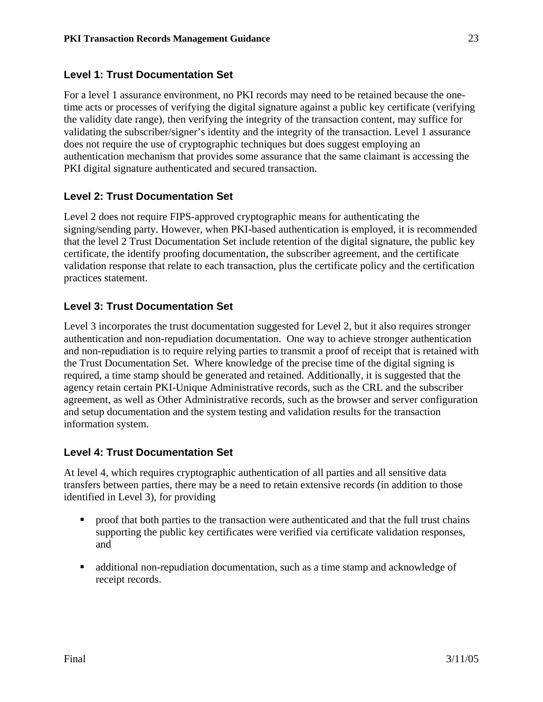#### **Level 1: Trust Documentation Set**

For a level 1 assurance environment, no PKI records may need to be retained because the onetime acts or processes of verifying the digital signature against a public key certificate (verifying the validity date range), then verifying the integrity of the transaction content, may suffice for validating the subscriber/signer's identity and the integrity of the transaction. Level 1 assurance does not require the use of cryptographic techniques but does suggest employing an authentication mechanism that provides some assurance that the same claimant is accessing the PKI digital signature authenticated and secured transaction.

#### **Level 2: Trust Documentation Set**

Level 2 does not require FIPS-approved cryptographic means for authenticating the signing/sending party. However, when PKI-based authentication is employed, it is recommended that the level 2 Trust Documentation Set include retention of the digital signature, the public key certificate, the identify proofing documentation, the subscriber agreement, and the certificate validation response that relate to each transaction, plus the certificate policy and the certification practices statement.

#### **Level 3: Trust Documentation Set**

Level 3 incorporates the trust documentation suggested for Level 2, but it also requires stronger authentication and non-repudiation documentation. One way to achieve stronger authentication and non-repudiation is to require relying parties to transmit a proof of receipt that is retained with the Trust Documentation Set. Where knowledge of the precise time of the digital signing is required, a time stamp should be generated and retained. Additionally, it is suggested that the agency retain certain PKI-Unique Administrative records, such as the CRL and the subscriber agreement, as well as Other Administrative records, such as the browser and server configuration and setup documentation and the system testing and validation results for the transaction information system.

#### **Level 4: Trust Documentation Set**

At level 4, which requires cryptographic authentication of all parties and all sensitive data transfers between parties, there may be a need to retain extensive records (in addition to those identified in Level 3), for providing

- proof that both parties to the transaction were authenticated and that the full trust chains supporting the public key certificates were verified via certificate validation responses, and
- additional non-repudiation documentation, such as a time stamp and acknowledge of receipt records.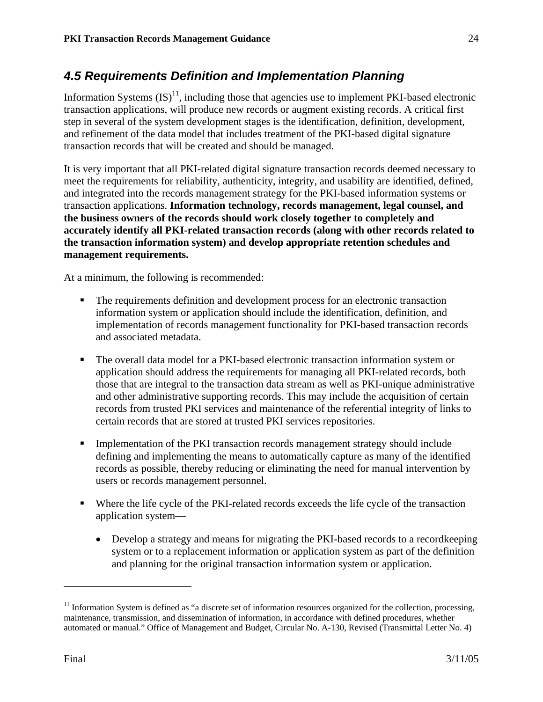## *4.5 Requirements Definition and Implementation Planning*

Information Systems  $(IS)^{11}$ , including those that agencies use to implement PKI-based electronic transaction applications, will produce new records or augment existing records. A critical first step in several of the system development stages is the identification, definition, development, and refinement of the data model that includes treatment of the PKI-based digital signature transaction records that will be created and should be managed.

It is very important that all PKI-related digital signature transaction records deemed necessary to meet the requirements for reliability, authenticity, integrity, and usability are identified, defined, and integrated into the records management strategy for the PKI-based information systems or transaction applications. **Information technology, records management, legal counsel, and the business owners of the records should work closely together to completely and accurately identify all PKI-related transaction records (along with other records related to the transaction information system) and develop appropriate retention schedules and management requirements.**

At a minimum, the following is recommended:

- The requirements definition and development process for an electronic transaction information system or application should include the identification, definition, and implementation of records management functionality for PKI-based transaction records and associated metadata.
- The overall data model for a PKI-based electronic transaction information system or application should address the requirements for managing all PKI-related records, both those that are integral to the transaction data stream as well as PKI-unique administrative and other administrative supporting records. This may include the acquisition of certain records from trusted PKI services and maintenance of the referential integrity of links to certain records that are stored at trusted PKI services repositories.
- **IMPLEM** Implementation of the PKI transaction records management strategy should include defining and implementing the means to automatically capture as many of the identified records as possible, thereby reducing or eliminating the need for manual intervention by users or records management personnel.
- Where the life cycle of the PKI-related records exceeds the life cycle of the transaction application system—
	- Develop a strategy and means for migrating the PKI-based records to a record keeping system or to a replacement information or application system as part of the definition and planning for the original transaction information system or application.

<sup>&</sup>lt;sup>11</sup> Information System is defined as "a discrete set of information resources organized for the collection, processing, maintenance, transmission, and dissemination of information, in accordance with defined procedures, whether automated or manual." Office of Management and Budget, Circular No. A-130, Revised (Transmittal Letter No. 4)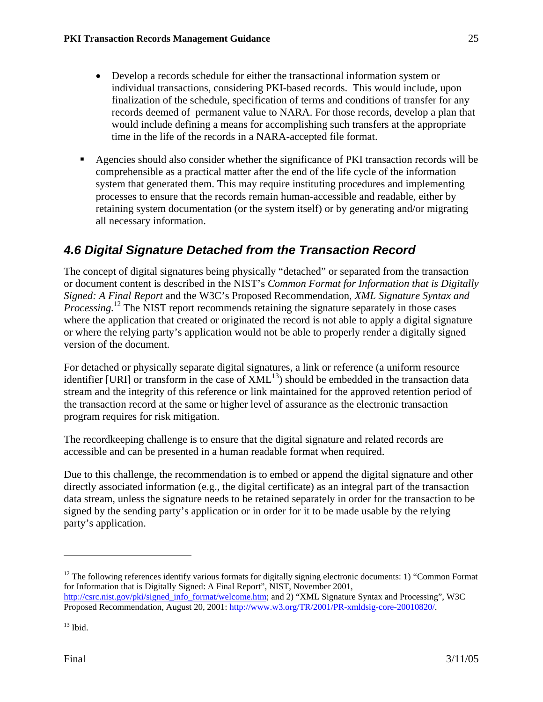- Develop a records schedule for either the transactional information system or individual transactions, considering PKI-based records. This would include, upon finalization of the schedule, specification of terms and conditions of transfer for any records deemed of permanent value to NARA. For those records, develop a plan that would include defining a means for accomplishing such transfers at the appropriate time in the life of the records in a NARA-accepted file format.
- Agencies should also consider whether the significance of PKI transaction records will be comprehensible as a practical matter after the end of the life cycle of the information system that generated them. This may require instituting procedures and implementing processes to ensure that the records remain human-accessible and readable, either by retaining system documentation (or the system itself) or by generating and/or migrating all necessary information.

## *4.6 Digital Signature Detached from the Transaction Record*

The concept of digital signatures being physically "detached" or separated from the transaction or document content is described in the NIST's *Common Format for Information that is Digitally Signed: A Final Report* and the W3C's Proposed Recommendation, *XML Signature Syntax and Processing.*<sup>12</sup> The NIST report recommends retaining the signature separately in those cases where the application that created or originated the record is not able to apply a digital signature or where the relying party's application would not be able to properly render a digitally signed version of the document.

For detached or physically separate digital signatures, a link or reference (a uniform resource identifier [URI] or transform in the case of  $\text{XML}^{13}$ ) should be embedded in the transaction data stream and the integrity of this reference or link maintained for the approved retention period of the transaction record at the same or higher level of assurance as the electronic transaction program requires for risk mitigation.

The recordkeeping challenge is to ensure that the digital signature and related records are accessible and can be presented in a human readable format when required.

Due to this challenge, the recommendation is to embed or append the digital signature and other directly associated information (e.g., the digital certificate) as an integral part of the transaction data stream, unless the signature needs to be retained separately in order for the transaction to be signed by the sending party's application or in order for it to be made usable by the relying party's application.

 $12$  The following references identify various formats for digitally signing electronic documents: 1) "Common Format for Information that is Digitally Signed: A Final Report", NIST, November 2001, http://csrc.nist.gov/pki/signed\_info\_format/welcome.htm; and 2) "XML Signature Syntax and Processing", W3C Proposed Recommendation, August 20, 2001: http://www.w3.org/TR/2001/PR-xmldsig-core-20010820/.

 $13$  Ibid.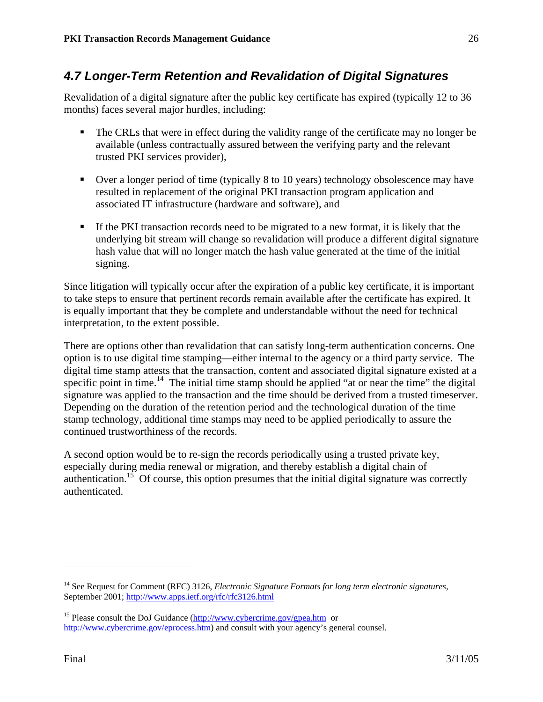## *4.7 Longer-Term Retention and Revalidation of Digital Signatures*

Revalidation of a digital signature after the public key certificate has expired (typically 12 to 36 months) faces several major hurdles, including:

- The CRLs that were in effect during the validity range of the certificate may no longer be available (unless contractually assured between the verifying party and the relevant trusted PKI services provider),
- Over a longer period of time (typically 8 to 10 years) technology obsolescence may have resulted in replacement of the original PKI transaction program application and associated IT infrastructure (hardware and software), and
- If the PKI transaction records need to be migrated to a new format, it is likely that the underlying bit stream will change so revalidation will produce a different digital signature hash value that will no longer match the hash value generated at the time of the initial signing.

Since litigation will typically occur after the expiration of a public key certificate, it is important to take steps to ensure that pertinent records remain available after the certificate has expired. It is equally important that they be complete and understandable without the need for technical interpretation, to the extent possible.

There are options other than revalidation that can satisfy long-term authentication concerns. One option is to use digital time stamping—either internal to the agency or a third party service. The digital time stamp attests that the transaction, content and associated digital signature existed at a specific point in time.<sup>14</sup> The initial time stamp should be applied "at or near the time" the digital signature was applied to the transaction and the time should be derived from a trusted timeserver. Depending on the duration of the retention period and the technological duration of the time stamp technology, additional time stamps may need to be applied periodically to assure the continued trustworthiness of the records.

A second option would be to re-sign the records periodically using a trusted private key, especially during media renewal or migration, and thereby establish a digital chain of authentication.<sup>15</sup> Of course, this option presumes that the initial digital signature was correctly authenticated.

<sup>14</sup> See Request for Comment (RFC) 3126, *Electronic Signature Formats for long term electronic signatures*, September 2001; http://www.apps.ietf.org/rfc/rfc3126.html

<sup>&</sup>lt;sup>15</sup> Please consult the DoJ Guidance (http://www.cybercrime.gov/gpea.htm or http://www.cybercrime.gov/eprocess.htm) and consult with your agency's general counsel.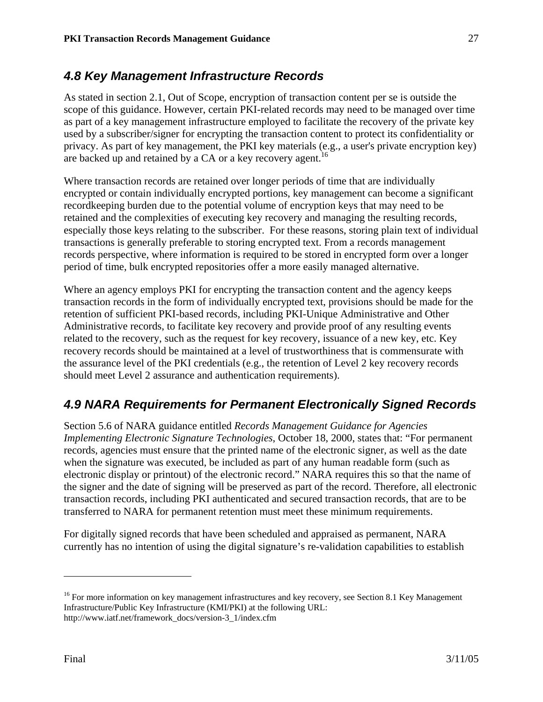## *4.8 Key Management Infrastructure Records*

As stated in section 2.1, Out of Scope, encryption of transaction content per se is outside the scope of this guidance. However, certain PKI-related records may need to be managed over time as part of a key management infrastructure employed to facilitate the recovery of the private key used by a subscriber/signer for encrypting the transaction content to protect its confidentiality or privacy. As part of key management, the PKI key materials (e.g., a user's private encryption key) are backed up and retained by a CA or a key recovery agent.<sup>16</sup>

Where transaction records are retained over longer periods of time that are individually encrypted or contain individually encrypted portions, key management can become a significant recordkeeping burden due to the potential volume of encryption keys that may need to be retained and the complexities of executing key recovery and managing the resulting records, especially those keys relating to the subscriber. For these reasons, storing plain text of individual transactions is generally preferable to storing encrypted text. From a records management records perspective, where information is required to be stored in encrypted form over a longer period of time, bulk encrypted repositories offer a more easily managed alternative.

Where an agency employs PKI for encrypting the transaction content and the agency keeps transaction records in the form of individually encrypted text, provisions should be made for the retention of sufficient PKI-based records, including PKI-Unique Administrative and Other Administrative records, to facilitate key recovery and provide proof of any resulting events related to the recovery, such as the request for key recovery, issuance of a new key, etc. Key recovery records should be maintained at a level of trustworthiness that is commensurate with the assurance level of the PKI credentials (e.g., the retention of Level 2 key recovery records should meet Level 2 assurance and authentication requirements).

## *4.9 NARA Requirements for Permanent Electronically Signed Records*

Section 5.6 of NARA guidance entitled *Records Management Guidance for Agencies Implementing Electronic Signature Technologies*, October 18, 2000, states that: "For permanent records, agencies must ensure that the printed name of the electronic signer, as well as the date when the signature was executed, be included as part of any human readable form (such as electronic display or printout) of the electronic record." NARA requires this so that the name of the signer and the date of signing will be preserved as part of the record. Therefore, all electronic transaction records, including PKI authenticated and secured transaction records, that are to be transferred to NARA for permanent retention must meet these minimum requirements.

For digitally signed records that have been scheduled and appraised as permanent, NARA currently has no intention of using the digital signature's re-validation capabilities to establish

<sup>&</sup>lt;sup>16</sup> For more information on key management infrastructures and key recovery, see Section 8.1 Key Management Infrastructure/Public Key Infrastructure (KMI/PKI) at the following URL: http://www.iatf.net/framework\_docs/version-3\_1/index.cfm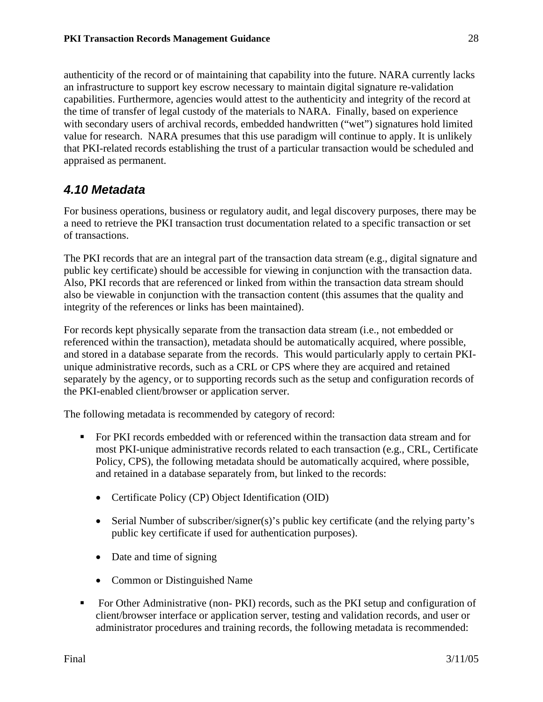authenticity of the record or of maintaining that capability into the future. NARA currently lacks an infrastructure to support key escrow necessary to maintain digital signature re-validation capabilities. Furthermore, agencies would attest to the authenticity and integrity of the record at the time of transfer of legal custody of the materials to NARA. Finally, based on experience with secondary users of archival records, embedded handwritten ("wet") signatures hold limited value for research. NARA presumes that this use paradigm will continue to apply. It is unlikely that PKI-related records establishing the trust of a particular transaction would be scheduled and appraised as permanent.

## *4.10 Metadata*

For business operations, business or regulatory audit, and legal discovery purposes, there may be a need to retrieve the PKI transaction trust documentation related to a specific transaction or set of transactions.

The PKI records that are an integral part of the transaction data stream (e.g., digital signature and public key certificate) should be accessible for viewing in conjunction with the transaction data. Also, PKI records that are referenced or linked from within the transaction data stream should also be viewable in conjunction with the transaction content (this assumes that the quality and integrity of the references or links has been maintained).

For records kept physically separate from the transaction data stream (i.e., not embedded or referenced within the transaction), metadata should be automatically acquired, where possible, and stored in a database separate from the records. This would particularly apply to certain PKIunique administrative records, such as a CRL or CPS where they are acquired and retained separately by the agency, or to supporting records such as the setup and configuration records of the PKI-enabled client/browser or application server.

The following metadata is recommended by category of record:

- For PKI records embedded with or referenced within the transaction data stream and for most PKI-unique administrative records related to each transaction (e.g., CRL, Certificate Policy, CPS), the following metadata should be automatically acquired, where possible, and retained in a database separately from, but linked to the records:
	- Certificate Policy (CP) Object Identification (OID)
	- Serial Number of subscriber/signer(s)'s public key certificate (and the relying party's public key certificate if used for authentication purposes).
	- Date and time of signing
	- Common or Distinguished Name
- For Other Administrative (non- PKI) records, such as the PKI setup and configuration of client/browser interface or application server, testing and validation records, and user or administrator procedures and training records, the following metadata is recommended: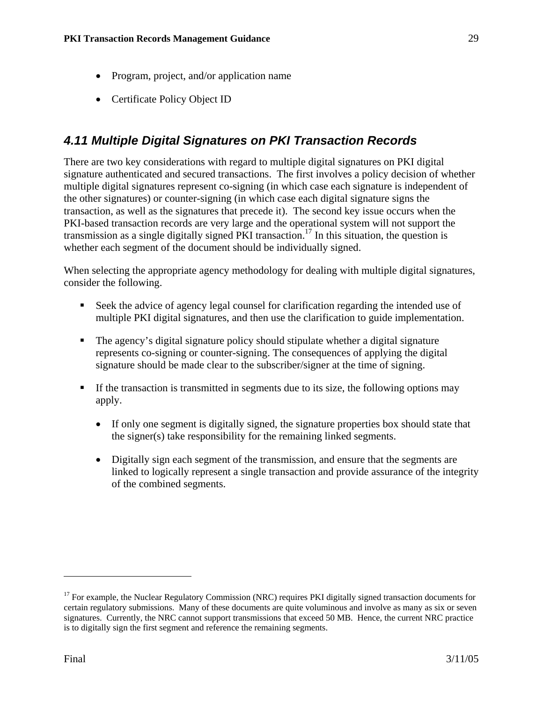- Program, project, and/or application name
- Certificate Policy Object ID

## *4.11 Multiple Digital Signatures on PKI Transaction Records*

There are two key considerations with regard to multiple digital signatures on PKI digital signature authenticated and secured transactions. The first involves a policy decision of whether multiple digital signatures represent co-signing (in which case each signature is independent of the other signatures) or counter-signing (in which case each digital signature signs the transaction, as well as the signatures that precede it). The second key issue occurs when the PKI-based transaction records are very large and the operational system will not support the transmission as a single digitally signed PKI transaction.<sup>17</sup> In this situation, the question is whether each segment of the document should be individually signed.

When selecting the appropriate agency methodology for dealing with multiple digital signatures, consider the following.

- Seek the advice of agency legal counsel for clarification regarding the intended use of multiple PKI digital signatures, and then use the clarification to guide implementation.
- The agency's digital signature policy should stipulate whether a digital signature represents co-signing or counter-signing. The consequences of applying the digital signature should be made clear to the subscriber/signer at the time of signing.
- If the transaction is transmitted in segments due to its size, the following options may apply.
	- If only one segment is digitally signed, the signature properties box should state that the signer(s) take responsibility for the remaining linked segments.
	- Digitally sign each segment of the transmission, and ensure that the segments are linked to logically represent a single transaction and provide assurance of the integrity of the combined segments.

<u>.</u>

<sup>&</sup>lt;sup>17</sup> For example, the Nuclear Regulatory Commission (NRC) requires PKI digitally signed transaction documents for certain regulatory submissions. Many of these documents are quite voluminous and involve as many as six or seven signatures. Currently, the NRC cannot support transmissions that exceed 50 MB. Hence, the current NRC practice is to digitally sign the first segment and reference the remaining segments.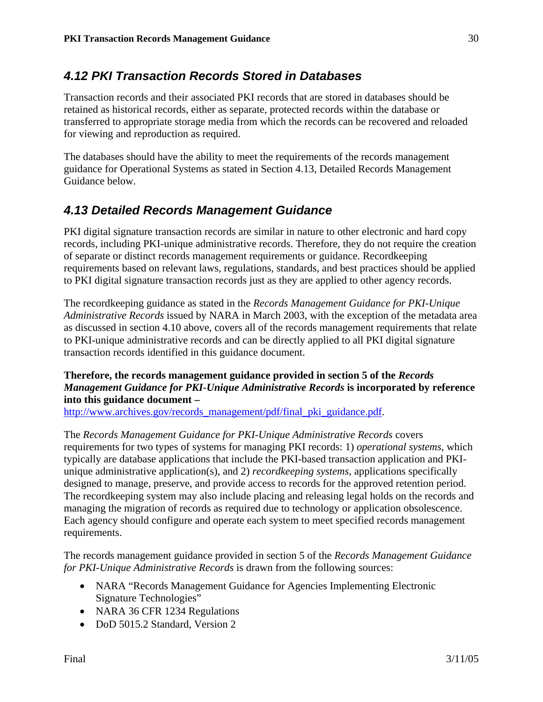## *4.12 PKI Transaction Records Stored in Databases*

Transaction records and their associated PKI records that are stored in databases should be retained as historical records, either as separate, protected records within the database or transferred to appropriate storage media from which the records can be recovered and reloaded for viewing and reproduction as required.

The databases should have the ability to meet the requirements of the records management guidance for Operational Systems as stated in Section 4.13, Detailed Records Management Guidance below.

## *4.13 Detailed Records Management Guidance*

PKI digital signature transaction records are similar in nature to other electronic and hard copy records, including PKI-unique administrative records. Therefore, they do not require the creation of separate or distinct records management requirements or guidance. Recordkeeping requirements based on relevant laws, regulations, standards, and best practices should be applied to PKI digital signature transaction records just as they are applied to other agency records.

The recordkeeping guidance as stated in the *Records Management Guidance for PKI-Unique Administrative Records* issued by NARA in March 2003, with the exception of the metadata area as discussed in section 4.10 above, covers all of the records management requirements that relate to PKI-unique administrative records and can be directly applied to all PKI digital signature transaction records identified in this guidance document.

#### **Therefore, the records management guidance provided in section 5 of the** *Records Management Guidance for PKI-Unique Administrative Records* **is incorporated by reference into this guidance document –**

http://www.archives.gov/records\_management/pdf/final\_pki\_guidance.pdf.

The *Records Management Guidance for PKI-Unique Administrative Records* covers requirements for two types of systems for managing PKI records: 1) *operational systems*, which typically are database applications that include the PKI-based transaction application and PKIunique administrative application(s), and 2) *recordkeeping systems*, applications specifically designed to manage, preserve, and provide access to records for the approved retention period. The recordkeeping system may also include placing and releasing legal holds on the records and managing the migration of records as required due to technology or application obsolescence. Each agency should configure and operate each system to meet specified records management requirements.

The records management guidance provided in section 5 of the *Records Management Guidance for PKI-Unique Administrative Records* is drawn from the following sources:

- NARA "Records Management Guidance for Agencies Implementing Electronic Signature Technologies"
- NARA 36 CFR 1234 Regulations
- DoD 5015.2 Standard, Version 2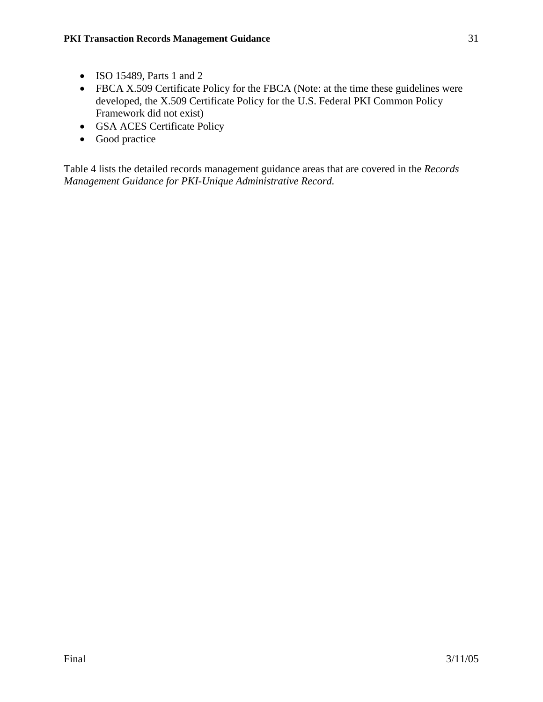- ISO 15489, Parts 1 and 2
- FBCA X.509 Certificate Policy for the FBCA (Note: at the time these guidelines were developed, the X.509 Certificate Policy for the U.S. Federal PKI Common Policy Framework did not exist)
- GSA ACES Certificate Policy
- Good practice

Table 4 lists the detailed records management guidance areas that are covered in the *Records Management Guidance for PKI-Unique Administrative Record.*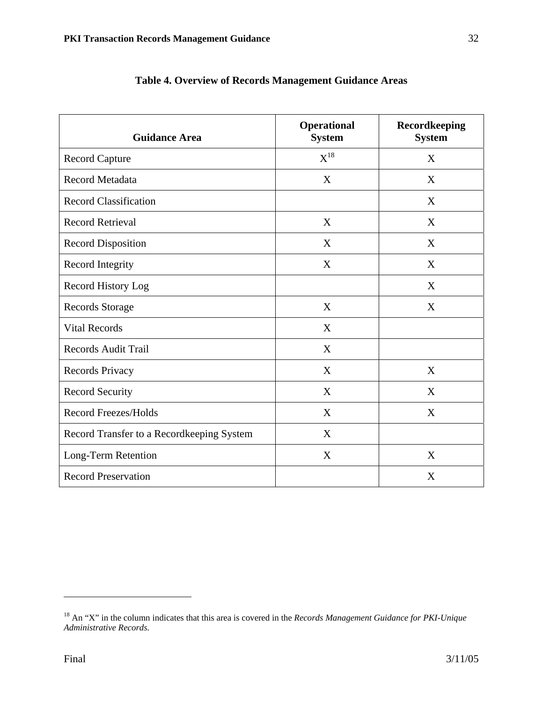| <b>Guidance Area</b>                      | <b>Operational</b><br><b>System</b> | Recordkeeping<br><b>System</b> |
|-------------------------------------------|-------------------------------------|--------------------------------|
| <b>Record Capture</b>                     | $X^{18}$                            | X                              |
| Record Metadata                           | X                                   | X                              |
| <b>Record Classification</b>              |                                     | X                              |
| <b>Record Retrieval</b>                   | X                                   | X                              |
| <b>Record Disposition</b>                 | X                                   | X                              |
| Record Integrity                          | X                                   | X                              |
| Record History Log                        |                                     | X                              |
| <b>Records Storage</b>                    | X                                   | X                              |
| <b>Vital Records</b>                      | X                                   |                                |
| <b>Records Audit Trail</b>                | X                                   |                                |
| Records Privacy                           | X                                   | X                              |
| <b>Record Security</b>                    | X                                   | X                              |
| <b>Record Freezes/Holds</b>               | X                                   | X                              |
| Record Transfer to a Recordkeeping System | X                                   |                                |
| Long-Term Retention                       | X                                   | X                              |
| <b>Record Preservation</b>                |                                     | X                              |

|  |  |  |  |  |  | Table 4. Overview of Records Management Guidance Areas |  |  |
|--|--|--|--|--|--|--------------------------------------------------------|--|--|
|--|--|--|--|--|--|--------------------------------------------------------|--|--|

<sup>18</sup> An "X" in the column indicates that this area is covered in the *Records Management Guidance for PKI-Unique Administrative Records.*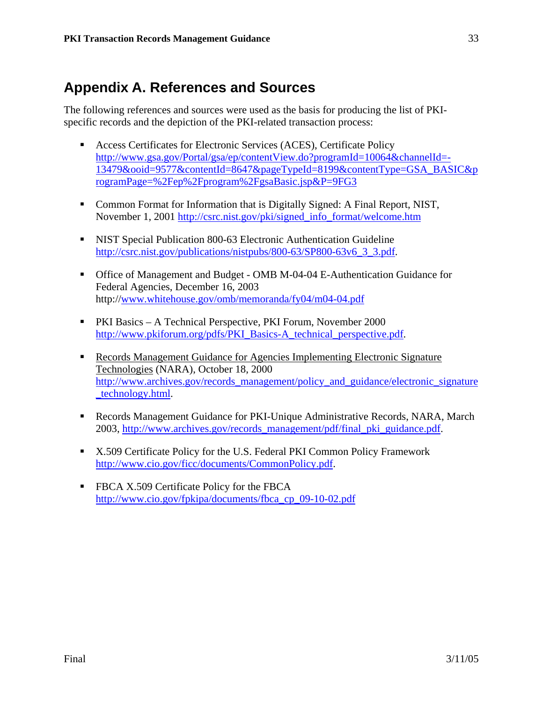## **Appendix A. References and Sources**

The following references and sources were used as the basis for producing the list of PKIspecific records and the depiction of the PKI-related transaction process:

- Access Certificates for Electronic Services (ACES), Certificate Policy http://www.gsa.gov/Portal/gsa/ep/contentView.do?programId=10064&channelId=- 13479&ooid=9577&contentId=8647&pageTypeId=8199&contentType=GSA\_BASIC&p rogramPage=%2Fep%2Fprogram%2FgsaBasic.jsp&P=9FG3
- Common Format for Information that is Digitally Signed: A Final Report, NIST, November 1, 2001 http://csrc.nist.gov/pki/signed\_info\_format/welcome.htm
- NIST Special Publication 800-63 Electronic Authentication Guideline http://csrc.nist.gov/publications/nistpubs/800-63/SP800-63v6\_3\_3.pdf.
- Office of Management and Budget OMB M-04-04 E-Authentication Guidance for Federal Agencies, December 16, 2003 http://www.whitehouse.gov/omb/memoranda/fy04/m04-04.pdf
- PKI Basics A Technical Perspective, PKI Forum, November 2000 http://www.pkiforum.org/pdfs/PKI\_Basics-A\_technical\_perspective.pdf.
- Records Management Guidance for Agencies Implementing Electronic Signature Technologies (NARA), October 18, 2000 http://www.archives.gov/records\_management/policy\_and\_guidance/electronic\_signature \_technology.html.
- Records Management Guidance for PKI-Unique Administrative Records, NARA, March 2003, http://www.archives.gov/records\_management/pdf/final\_pki\_guidance.pdf.
- X.509 Certificate Policy for the U.S. Federal PKI Common Policy Framework http://www.cio.gov/ficc/documents/CommonPolicy.pdf.
- **FBCA X.509 Certificate Policy for the FBCA** http://www.cio.gov/fpkipa/documents/fbca\_cp\_09-10-02.pdf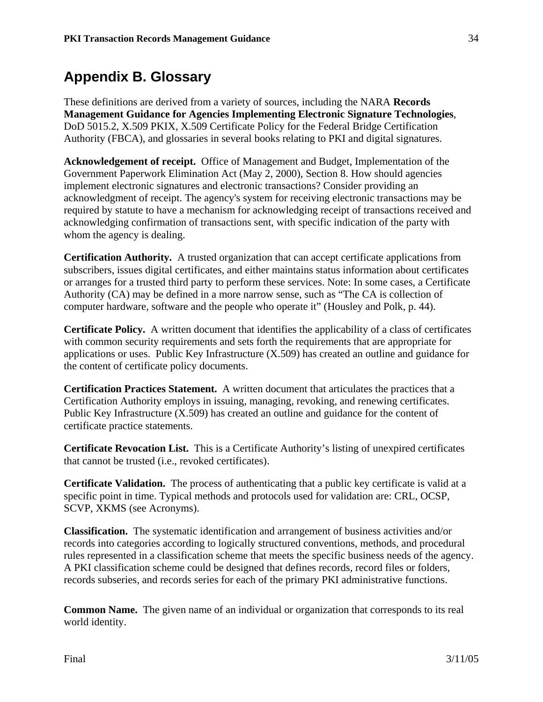## **Appendix B. Glossary**

These definitions are derived from a variety of sources, including the NARA **Records Management Guidance for Agencies Implementing Electronic Signature Technologies**, DoD 5015.2, X.509 PKIX, X.509 Certificate Policy for the Federal Bridge Certification Authority (FBCA), and glossaries in several books relating to PKI and digital signatures.

**Acknowledgement of receipt.** Office of Management and Budget, Implementation of the Government Paperwork Elimination Act (May 2, 2000), Section 8. How should agencies implement electronic signatures and electronic transactions? Consider providing an acknowledgment of receipt. The agency's system for receiving electronic transactions may be required by statute to have a mechanism for acknowledging receipt of transactions received and acknowledging confirmation of transactions sent, with specific indication of the party with whom the agency is dealing.

**Certification Authority.** A trusted organization that can accept certificate applications from subscribers, issues digital certificates, and either maintains status information about certificates or arranges for a trusted third party to perform these services. Note: In some cases, a Certificate Authority (CA) may be defined in a more narrow sense, such as "The CA is collection of computer hardware, software and the people who operate it" (Housley and Polk, p. 44).

**Certificate Policy.** A written document that identifies the applicability of a class of certificates with common security requirements and sets forth the requirements that are appropriate for applications or uses. Public Key Infrastructure (X.509) has created an outline and guidance for the content of certificate policy documents.

**Certification Practices Statement.** A written document that articulates the practices that a Certification Authority employs in issuing, managing, revoking, and renewing certificates. Public Key Infrastructure (X.509) has created an outline and guidance for the content of certificate practice statements.

**Certificate Revocation List.** This is a Certificate Authority's listing of unexpired certificates that cannot be trusted (i.e., revoked certificates).

**Certificate Validation.** The process of authenticating that a public key certificate is valid at a specific point in time. Typical methods and protocols used for validation are: CRL, OCSP, SCVP, XKMS (see Acronyms).

**Classification.** The systematic identification and arrangement of business activities and/or records into categories according to logically structured conventions, methods, and procedural rules represented in a classification scheme that meets the specific business needs of the agency. A PKI classification scheme could be designed that defines records, record files or folders, records subseries, and records series for each of the primary PKI administrative functions.

**Common Name.** The given name of an individual or organization that corresponds to its real world identity.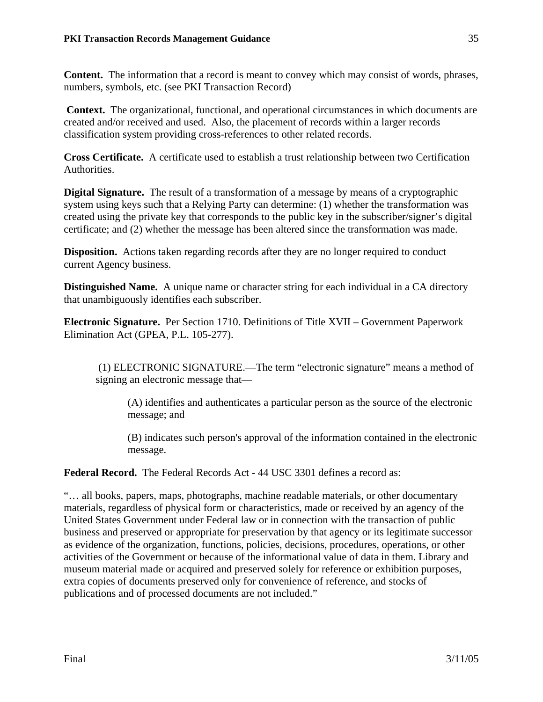**Content.** The information that a record is meant to convey which may consist of words, phrases, numbers, symbols, etc. (see PKI Transaction Record)

**Context.** The organizational, functional, and operational circumstances in which documents are created and/or received and used. Also, the placement of records within a larger records classification system providing cross-references to other related records.

**Cross Certificate.** A certificate used to establish a trust relationship between two Certification Authorities.

**Digital Signature.** The result of a transformation of a message by means of a cryptographic system using keys such that a Relying Party can determine: (1) whether the transformation was created using the private key that corresponds to the public key in the subscriber/signer's digital certificate; and (2) whether the message has been altered since the transformation was made.

**Disposition.** Actions taken regarding records after they are no longer required to conduct current Agency business.

**Distinguished Name.** A unique name or character string for each individual in a CA directory that unambiguously identifies each subscriber.

**Electronic Signature.** Per Section 1710. Definitions of Title XVII – Government Paperwork Elimination Act (GPEA, P.L. 105-277).

 (1) ELECTRONIC SIGNATURE.—The term "electronic signature" means a method of signing an electronic message that—

(A) identifies and authenticates a particular person as the source of the electronic message; and

(B) indicates such person's approval of the information contained in the electronic message.

**Federal Record.** The Federal Records Act - 44 USC 3301 defines a record as:

"… all books, papers, maps, photographs, machine readable materials, or other documentary materials, regardless of physical form or characteristics, made or received by an agency of the United States Government under Federal law or in connection with the transaction of public business and preserved or appropriate for preservation by that agency or its legitimate successor as evidence of the organization, functions, policies, decisions, procedures, operations, or other activities of the Government or because of the informational value of data in them. Library and museum material made or acquired and preserved solely for reference or exhibition purposes, extra copies of documents preserved only for convenience of reference, and stocks of publications and of processed documents are not included."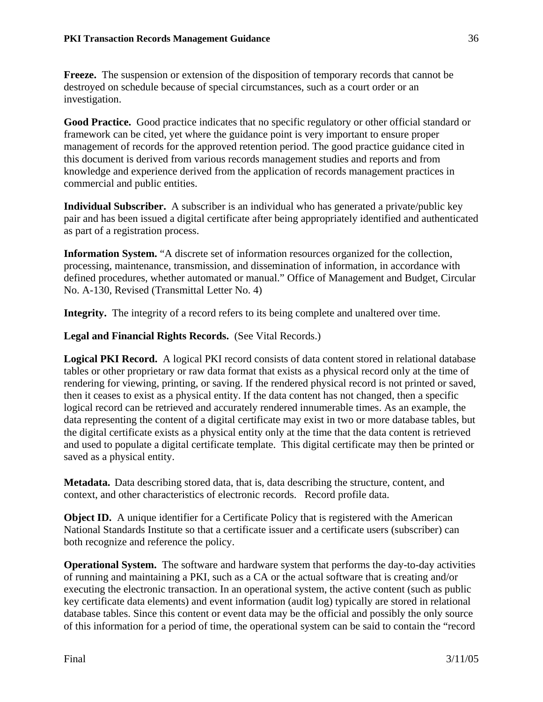**Freeze.** The suspension or extension of the disposition of temporary records that cannot be destroyed on schedule because of special circumstances, such as a court order or an investigation.

**Good Practice.** Good practice indicates that no specific regulatory or other official standard or framework can be cited, yet where the guidance point is very important to ensure proper management of records for the approved retention period. The good practice guidance cited in this document is derived from various records management studies and reports and from knowledge and experience derived from the application of records management practices in commercial and public entities.

**Individual Subscriber.** A subscriber is an individual who has generated a private/public key pair and has been issued a digital certificate after being appropriately identified and authenticated as part of a registration process.

**Information System.** "A discrete set of information resources organized for the collection, processing, maintenance, transmission, and dissemination of information, in accordance with defined procedures, whether automated or manual." Office of Management and Budget, Circular No. A-130, Revised (Transmittal Letter No. 4)

**Integrity.** The integrity of a record refers to its being complete and unaltered over time.

**Legal and Financial Rights Records.** (See Vital Records.)

**Logical PKI Record.** A logical PKI record consists of data content stored in relational database tables or other proprietary or raw data format that exists as a physical record only at the time of rendering for viewing, printing, or saving. If the rendered physical record is not printed or saved, then it ceases to exist as a physical entity. If the data content has not changed, then a specific logical record can be retrieved and accurately rendered innumerable times. As an example, the data representing the content of a digital certificate may exist in two or more database tables, but the digital certificate exists as a physical entity only at the time that the data content is retrieved and used to populate a digital certificate template. This digital certificate may then be printed or saved as a physical entity.

**Metadata.** Data describing stored data, that is, data describing the structure, content, and context, and other characteristics of electronic records. Record profile data.

**Object ID.** A unique identifier for a Certificate Policy that is registered with the American National Standards Institute so that a certificate issuer and a certificate users (subscriber) can both recognize and reference the policy.

**Operational System.** The software and hardware system that performs the day-to-day activities of running and maintaining a PKI, such as a CA or the actual software that is creating and/or executing the electronic transaction. In an operational system, the active content (such as public key certificate data elements) and event information (audit log) typically are stored in relational database tables. Since this content or event data may be the official and possibly the only source of this information for a period of time, the operational system can be said to contain the "record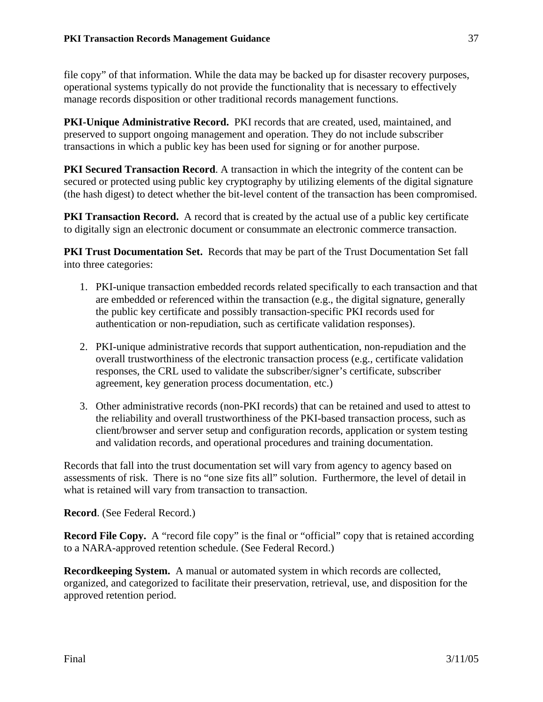file copy" of that information. While the data may be backed up for disaster recovery purposes, operational systems typically do not provide the functionality that is necessary to effectively manage records disposition or other traditional records management functions.

**PKI-Unique Administrative Record.** PKI records that are created, used, maintained, and preserved to support ongoing management and operation. They do not include subscriber transactions in which a public key has been used for signing or for another purpose.

**PKI Secured Transaction Record.** A transaction in which the integrity of the content can be secured or protected using public key cryptography by utilizing elements of the digital signature (the hash digest) to detect whether the bit-level content of the transaction has been compromised.

**PKI Transaction Record.** A record that is created by the actual use of a public key certificate to digitally sign an electronic document or consummate an electronic commerce transaction.

**PKI Trust Documentation Set.** Records that may be part of the Trust Documentation Set fall into three categories:

- 1. PKI-unique transaction embedded records related specifically to each transaction and that are embedded or referenced within the transaction (e.g., the digital signature, generally the public key certificate and possibly transaction-specific PKI records used for authentication or non-repudiation, such as certificate validation responses).
- 2. PKI-unique administrative records that support authentication, non-repudiation and the overall trustworthiness of the electronic transaction process (e.g., certificate validation responses, the CRL used to validate the subscriber/signer's certificate, subscriber agreement, key generation process documentation, etc.)
- 3. Other administrative records (non-PKI records) that can be retained and used to attest to the reliability and overall trustworthiness of the PKI-based transaction process, such as client/browser and server setup and configuration records, application or system testing and validation records, and operational procedures and training documentation.

Records that fall into the trust documentation set will vary from agency to agency based on assessments of risk. There is no "one size fits all" solution. Furthermore, the level of detail in what is retained will vary from transaction to transaction.

**Record**. (See Federal Record.)

**Record File Copy.** A "record file copy" is the final or "official" copy that is retained according to a NARA-approved retention schedule. (See Federal Record.)

**Recordkeeping System.** A manual or automated system in which records are collected, organized, and categorized to facilitate their preservation, retrieval, use, and disposition for the approved retention period.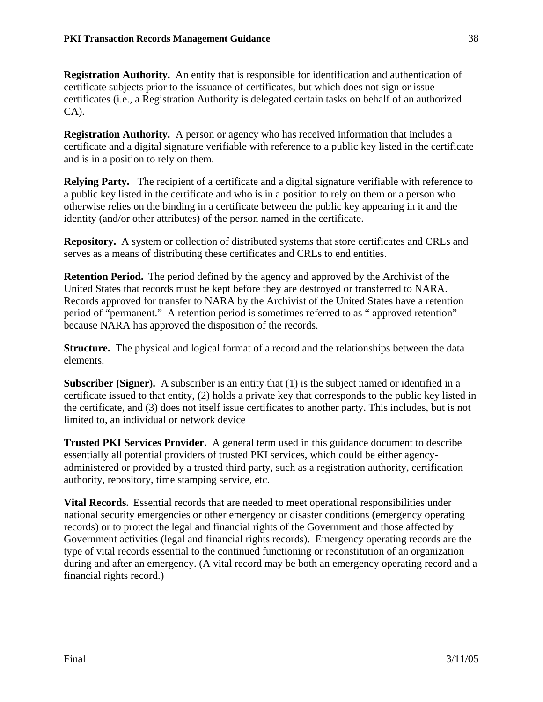**Registration Authority.** An entity that is responsible for identification and authentication of certificate subjects prior to the issuance of certificates, but which does not sign or issue certificates (i.e., a Registration Authority is delegated certain tasks on behalf of an authorized CA).

**Registration Authority.** A person or agency who has received information that includes a certificate and a digital signature verifiable with reference to a public key listed in the certificate and is in a position to rely on them.

**Relying Party.** The recipient of a certificate and a digital signature verifiable with reference to a public key listed in the certificate and who is in a position to rely on them or a person who otherwise relies on the binding in a certificate between the public key appearing in it and the identity (and/or other attributes) of the person named in the certificate.

**Repository.** A system or collection of distributed systems that store certificates and CRLs and serves as a means of distributing these certificates and CRLs to end entities.

**Retention Period.** The period defined by the agency and approved by the Archivist of the United States that records must be kept before they are destroyed or transferred to NARA. Records approved for transfer to NARA by the Archivist of the United States have a retention period of "permanent." A retention period is sometimes referred to as " approved retention" because NARA has approved the disposition of the records.

**Structure.** The physical and logical format of a record and the relationships between the data elements.

**Subscriber (Signer).** A subscriber is an entity that (1) is the subject named or identified in a certificate issued to that entity, (2) holds a private key that corresponds to the public key listed in the certificate, and (3) does not itself issue certificates to another party. This includes, but is not limited to, an individual or network device

**Trusted PKI Services Provider.** A general term used in this guidance document to describe essentially all potential providers of trusted PKI services, which could be either agencyadministered or provided by a trusted third party, such as a registration authority, certification authority, repository, time stamping service, etc.

**Vital Records.** Essential records that are needed to meet operational responsibilities under national security emergencies or other emergency or disaster conditions (emergency operating records) or to protect the legal and financial rights of the Government and those affected by Government activities (legal and financial rights records). Emergency operating records are the type of vital records essential to the continued functioning or reconstitution of an organization during and after an emergency. (A vital record may be both an emergency operating record and a financial rights record.)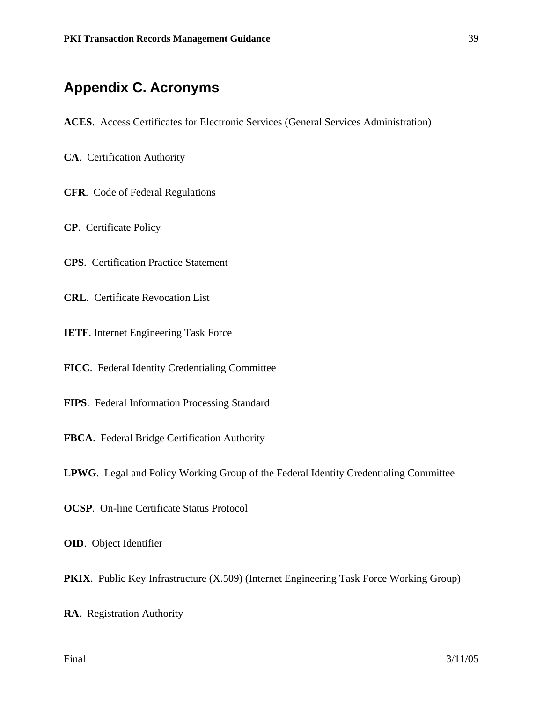## **Appendix C. Acronyms**

- **ACES**. Access Certificates for Electronic Services (General Services Administration)
- **CA**. Certification Authority

**CFR**. Code of Federal Regulations

**CP**. Certificate Policy

**CPS**. Certification Practice Statement

**CRL**. Certificate Revocation List

**IETF**. Internet Engineering Task Force

**FICC**. Federal Identity Credentialing Committee

**FIPS**. Federal Information Processing Standard

**FBCA**. Federal Bridge Certification Authority

**LPWG**. Legal and Policy Working Group of the Federal Identity Credentialing Committee

**OCSP**. On-line Certificate Status Protocol

**OID**. Object Identifier

**PKIX**. Public Key Infrastructure (X.509) (Internet Engineering Task Force Working Group)

**RA**. Registration Authority